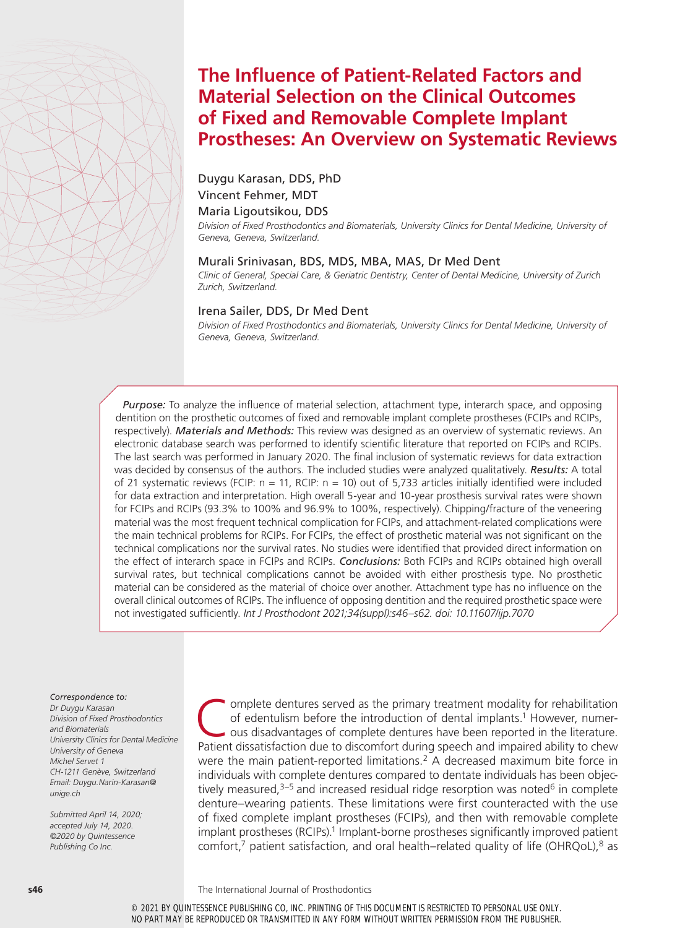# **The Influence of Patient-Related Factors and Material Selection on the Clinical Outcomes of Fixed and Removable Complete Implant Prostheses: An Overview on Systematic Reviews**

## Duygu Karasan, DDS, PhD Vincent Fehmer, MDT

#### Maria Ligoutsikou, DDS

*Division of Fixed Prosthodontics and Biomaterials, University Clinics for Dental Medicine, University of Geneva, Geneva, Switzerland.*

#### Murali Srinivasan, BDS, MDS, MBA, MAS, Dr Med Dent

*Clinic of General, Special Care, & Geriatric Dentistry, Center of Dental Medicine, University of Zurich Zurich, Switzerland.*

#### Irena Sailer, DDS, Dr Med Dent

*Division of Fixed Prosthodontics and Biomaterials, University Clinics for Dental Medicine, University of Geneva, Geneva, Switzerland.*

*Purpose:* To analyze the influence of material selection, attachment type, interarch space, and opposing dentition on the prosthetic outcomes of fixed and removable implant complete prostheses (FCIPs and RCIPs, respectively). *Materials and Methods:* This review was designed as an overview of systematic reviews. An electronic database search was performed to identify scientific literature that reported on FCIPs and RCIPs. The last search was performed in January 2020. The final inclusion of systematic reviews for data extraction was decided by consensus of the authors. The included studies were analyzed qualitatively. *Results:* A total of 21 systematic reviews (FCIP:  $n = 11$ , RCIP:  $n = 10$ ) out of 5.733 articles initially identified were included for data extraction and interpretation. High overall 5-year and 10-year prosthesis survival rates were shown for FCIPs and RCIPs (93.3% to 100% and 96.9% to 100%, respectively). Chipping/fracture of the veneering material was the most frequent technical complication for FCIPs, and attachment-related complications were the main technical problems for RCIPs. For FCIPs, the effect of prosthetic material was not significant on the technical complications nor the survival rates. No studies were identified that provided direct information on the effect of interarch space in FCIPs and RCIPs. *Conclusions:* Both FCIPs and RCIPs obtained high overall survival rates, but technical complications cannot be avoided with either prosthesis type. No prosthetic material can be considered as the material of choice over another. Attachment type has no influence on the overall clinical outcomes of RCIPs. The influence of opposing dentition and the required prosthetic space were not investigated sufficiently. *Int J Prosthodont 2021;34(suppl):s46–s62. doi: 10.11607/ijp.7070*

#### *Correspondence to:*

*Dr Duygu Karasan Division of Fixed Prosthodontics and Biomaterials University Clinics for Dental Medicine University of Geneva Michel Servet 1 CH-1211 Genève, Switzerland Email: Duygu.Narin-Karasan@ unige.ch*

*Submitted April 14, 2020; accepted July 14, 2020. ©2020 by Quintessence Publishing Co Inc.* 

Complete dentures served as the primary treatment modality for rehabilitation<br>of edentulism before the introduction of dental implants.<sup>1</sup> However, numer-<br>ous disadvantages of complete dentures have been reported in the li of edentulism before the introduction of dental implants.<sup>1</sup> However, numerous disadvantages of complete dentures have been reported in the literature. Patient dissatisfaction due to discomfort during speech and impaired ability to chew were the main patient-reported limitations.<sup>2</sup> A decreased maximum bite force in individuals with complete dentures compared to dentate individuals has been objectively measured, $3-5$  and increased residual ridge resorption was noted<sup>6</sup> in complete denture–wearing patients. These limitations were first counteracted with the use of fixed complete implant prostheses (FCIPs), and then with removable complete implant prostheses (RCIPs).<sup>1</sup> Implant-borne prostheses significantly improved patient comfort, $^7$  patient satisfaction, and oral health–related quality of life (OHRQoL), $^8$  as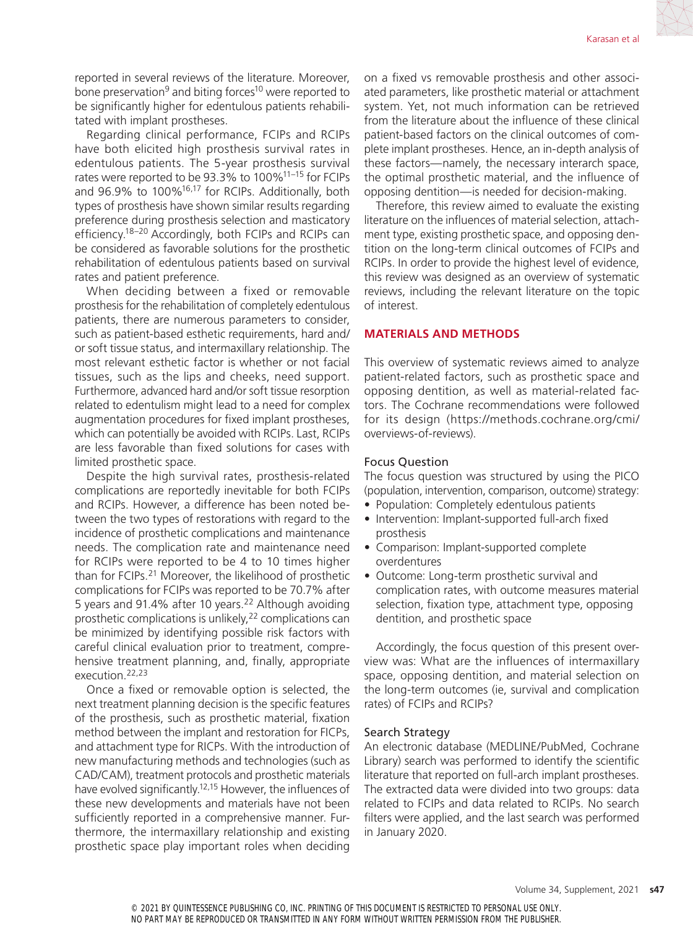reported in several reviews of the literature. Moreover, bone preservation<sup>9</sup> and biting forces<sup>10</sup> were reported to be significantly higher for edentulous patients rehabilitated with implant prostheses.

Regarding clinical performance, FCIPs and RCIPs have both elicited high prosthesis survival rates in edentulous patients. The 5-year prosthesis survival rates were reported to be 93.3% to 100%11–15 for FCIPs and 96.9% to 100%16,17 for RCIPs. Additionally, both types of prosthesis have shown similar results regarding preference during prosthesis selection and masticatory efficiency.18–20 Accordingly, both FCIPs and RCIPs can be considered as favorable solutions for the prosthetic rehabilitation of edentulous patients based on survival rates and patient preference.

When deciding between a fixed or removable prosthesis for the rehabilitation of completely edentulous patients, there are numerous parameters to consider, such as patient-based esthetic requirements, hard and/ or soft tissue status, and intermaxillary relationship. The most relevant esthetic factor is whether or not facial tissues, such as the lips and cheeks, need support. Furthermore, advanced hard and/or soft tissue resorption related to edentulism might lead to a need for complex augmentation procedures for fixed implant prostheses, which can potentially be avoided with RCIPs. Last, RCIPs are less favorable than fixed solutions for cases with limited prosthetic space.

Despite the high survival rates, prosthesis-related complications are reportedly inevitable for both FCIPs and RCIPs. However, a difference has been noted between the two types of restorations with regard to the incidence of prosthetic complications and maintenance needs. The complication rate and maintenance need for RCIPs were reported to be 4 to 10 times higher than for FCIPs.21 Moreover, the likelihood of prosthetic complications for FCIPs was reported to be 70.7% after 5 years and 91.4% after 10 years.<sup>22</sup> Although avoiding prosthetic complications is unlikely,22 complications can be minimized by identifying possible risk factors with careful clinical evaluation prior to treatment, comprehensive treatment planning, and, finally, appropriate execution.22,23

Once a fixed or removable option is selected, the next treatment planning decision is the specific features of the prosthesis, such as prosthetic material, fixation method between the implant and restoration for FICPs, and attachment type for RICPs. With the introduction of new manufacturing methods and technologies (such as CAD/CAM), treatment protocols and prosthetic materials have evolved significantly.12,15 However, the influences of these new developments and materials have not been sufficiently reported in a comprehensive manner. Furthermore, the intermaxillary relationship and existing prosthetic space play important roles when deciding on a fixed vs removable prosthesis and other associated parameters, like prosthetic material or attachment system. Yet, not much information can be retrieved from the literature about the influence of these clinical patient-based factors on the clinical outcomes of complete implant prostheses. Hence, an in-depth analysis of these factors—namely, the necessary interarch space, the optimal prosthetic material, and the influence of opposing dentition—is needed for decision-making.

Therefore, this review aimed to evaluate the existing literature on the influences of material selection, attachment type, existing prosthetic space, and opposing dentition on the long-term clinical outcomes of FCIPs and RCIPs. In order to provide the highest level of evidence, this review was designed as an overview of systematic reviews, including the relevant literature on the topic of interest.

#### **MATERIALS AND METHODS**

This overview of systematic reviews aimed to analyze patient-related factors, such as prosthetic space and opposing dentition, as well as material-related factors. The Cochrane recommendations were followed for its design ([https://methods.cochrane.org/cmi/](https://methods.cochrane.org/cmi/overviews-of-reviews) [overviews-of-reviews](https://methods.cochrane.org/cmi/overviews-of-reviews)).

#### Focus Question

The focus question was structured by using the PICO (population, intervention, comparison, outcome) strategy:

- Population: Completely edentulous patients
- Intervention: Implant-supported full-arch fixed prosthesis
- Comparison: Implant-supported complete overdentures
- Outcome: Long-term prosthetic survival and complication rates, with outcome measures material selection, fixation type, attachment type, opposing dentition, and prosthetic space

Accordingly, the focus question of this present overview was: What are the influences of intermaxillary space, opposing dentition, and material selection on the long-term outcomes (ie, survival and complication rates) of FCIPs and RCIPs?

#### Search Strategy

An electronic database (MEDLINE/PubMed, Cochrane Library) search was performed to identify the scientific literature that reported on full-arch implant prostheses. The extracted data were divided into two groups: data related to FCIPs and data related to RCIPs. No search filters were applied, and the last search was performed in January 2020.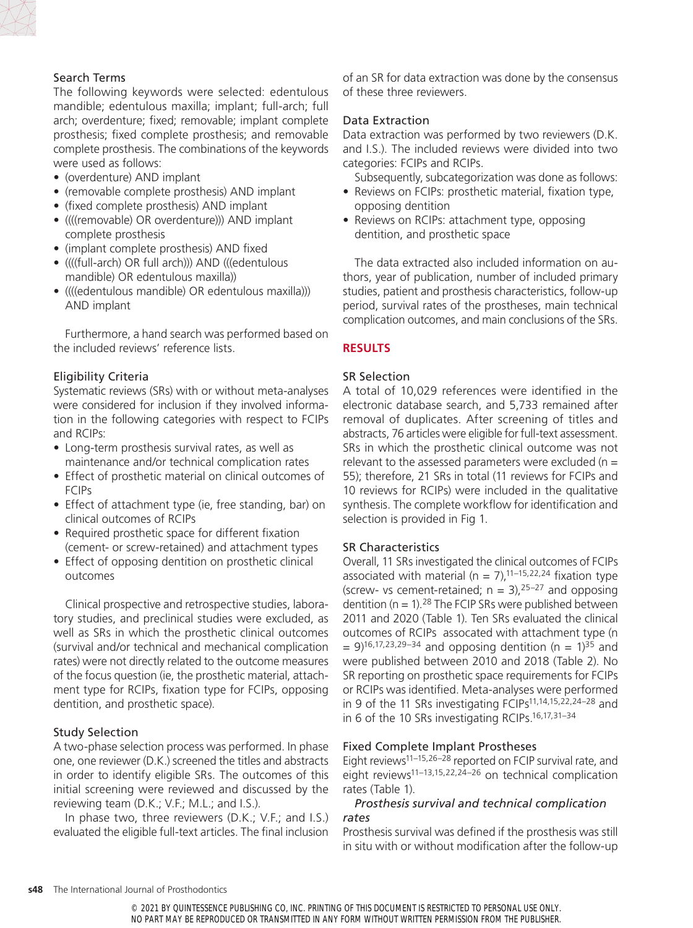## Search Terms

The following keywords were selected: edentulous mandible; edentulous maxilla; implant; full-arch; full arch; overdenture; fixed; removable; implant complete prosthesis; fixed complete prosthesis; and removable complete prosthesis. The combinations of the keywords were used as follows:

- (overdenture) AND implant
- (removable complete prosthesis) AND implant
- (fixed complete prosthesis) AND implant
- ((((removable) OR overdenture))) AND implant complete prosthesis
- (implant complete prosthesis) AND fixed
- ((((full-arch) OR full arch))) AND (((edentulous mandible) OR edentulous maxilla))
- ((((edentulous mandible) OR edentulous maxilla))) AND implant

Furthermore, a hand search was performed based on the included reviews' reference lists.

## Eligibility Criteria

Systematic reviews (SRs) with or without meta-analyses were considered for inclusion if they involved information in the following categories with respect to FCIPs and RCIPs:

- Long-term prosthesis survival rates, as well as maintenance and/or technical complication rates
- Effect of prosthetic material on clinical outcomes of FCIPs
- Effect of attachment type (ie, free standing, bar) on clinical outcomes of RCIPs
- Required prosthetic space for different fixation (cement- or screw-retained) and attachment types
- Effect of opposing dentition on prosthetic clinical outcomes

Clinical prospective and retrospective studies, laboratory studies, and preclinical studies were excluded, as well as SRs in which the prosthetic clinical outcomes (survival and/or technical and mechanical complication rates) were not directly related to the outcome measures of the focus question (ie, the prosthetic material, attachment type for RCIPs, fixation type for FCIPs, opposing dentition, and prosthetic space).

## Study Selection

A two-phase selection process was performed. In phase one, one reviewer (D.K.) screened the titles and abstracts in order to identify eligible SRs. The outcomes of this initial screening were reviewed and discussed by the reviewing team (D.K.; V.F.; M.L.; and I.S.).

In phase two, three reviewers (D.K.; V.F.; and I.S.) evaluated the eligible full-text articles. The final inclusion of an SR for data extraction was done by the consensus of these three reviewers.

## Data Extraction

Data extraction was performed by two reviewers (D.K. and I.S.). The included reviews were divided into two categories: FCIPs and RCIPs.

Subsequently, subcategorization was done as follows:

- Reviews on FCIPs: prosthetic material, fixation type, opposing dentition
- Reviews on RCIPs: attachment type, opposing dentition, and prosthetic space

The data extracted also included information on authors, year of publication, number of included primary studies, patient and prosthesis characteristics, follow-up period, survival rates of the prostheses, main technical complication outcomes, and main conclusions of the SRs.

## **RESULTS**

## SR Selection

A total of 10,029 references were identified in the electronic database search, and 5,733 remained after removal of duplicates. After screening of titles and abstracts, 76 articles were eligible for full-text assessment. SRs in which the prosthetic clinical outcome was not relevant to the assessed parameters were excluded ( $n =$ 55); therefore, 21 SRs in total (11 reviews for FCIPs and 10 reviews for RCIPs) were included in the qualitative synthesis. The complete workflow for identification and selection is provided in Fig 1.

## SR Characteristics

Overall, 11 SRs investigated the clinical outcomes of FCIPs associated with material ( $n = 7$ ),<sup>11–15,22,24</sup> fixation type (screw- vs cement-retained;  $n = 3$ ),  $25-27$  and opposing dentition ( $n = 1$ ).<sup>28</sup> The FCIP SRs were published between 2011 and 2020 (Table 1). Ten SRs evaluated the clinical outcomes of RCIPs assocated with attachment type (n  $= 9$ )<sup>16,17,23,29–34</sup> and opposing dentition (n = 1)<sup>35</sup> and were published between 2010 and 2018 (Table 2). No SR reporting on prosthetic space requirements for FCIPs or RCIPs was identified. Meta-analyses were performed in 9 of the 11 SRs investigating FCIPs<sup>11,14,15,22,24-28</sup> and in 6 of the 10 SRs investigating RCIPs.<sup>16,17,31-34</sup>

## Fixed Complete Implant Prostheses

Eight reviews<sup>11–15,26–28</sup> reported on FCIP survival rate, and eight reviews11–13,15,22,24–26 on technical complication rates (Table 1).

## *Prosthesis survival and technical complication rates*

Prosthesis survival was defined if the prosthesis was still in situ with or without modification after the follow-up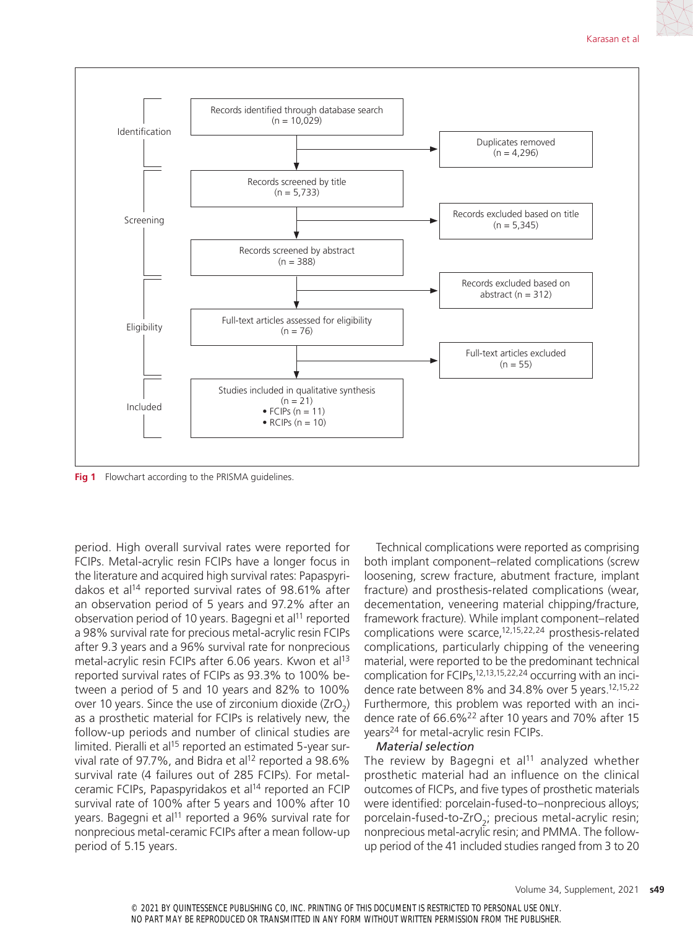

**Fig 1** Flowchart according to the PRISMA guidelines.

period. High overall survival rates were reported for FCIPs. Metal-acrylic resin FCIPs have a longer focus in the literature and acquired high survival rates: Papaspyridakos et al<sup>14</sup> reported survival rates of 98.61% after an observation period of 5 years and 97.2% after an observation period of 10 years. Bagegni et al<sup>11</sup> reported a 98% survival rate for precious metal-acrylic resin FCIPs after 9.3 years and a 96% survival rate for nonprecious metal-acrylic resin FCIPs after 6.06 years. Kwon et al<sup>13</sup> reported survival rates of FCIPs as 93.3% to 100% between a period of 5 and 10 years and 82% to 100% over 10 years. Since the use of zirconium dioxide  $(ZrO<sub>2</sub>)$ as a prosthetic material for FCIPs is relatively new, the follow-up periods and number of clinical studies are limited. Pieralli et al<sup>15</sup> reported an estimated 5-year survival rate of 97.7%, and Bidra et al<sup>12</sup> reported a 98.6% survival rate (4 failures out of 285 FCIPs). For metalceramic FCIPs, Papaspyridakos et al<sup>14</sup> reported an FCIP survival rate of 100% after 5 years and 100% after 10 years. Bagegni et al<sup>11</sup> reported a 96% survival rate for nonprecious metal-ceramic FCIPs after a mean follow-up period of 5.15 years.

Technical complications were reported as comprising both implant component–related complications (screw loosening, screw fracture, abutment fracture, implant fracture) and prosthesis-related complications (wear, decementation, veneering material chipping/fracture, framework fracture). While implant component–related complications were scarce,12,15,22,24 prosthesis-related complications, particularly chipping of the veneering material, were reported to be the predominant technical complication for FCIPs,12,13,15,22,24 occurring with an incidence rate between 8% and 34.8% over 5 years.<sup>12,15,22</sup> Furthermore, this problem was reported with an incidence rate of 66.6%<sup>22</sup> after 10 years and 70% after 15 years24 for metal-acrylic resin FCIPs.

### *Material selection*

The review by Bagegni et al<sup>11</sup> analyzed whether prosthetic material had an influence on the clinical outcomes of FICPs, and five types of prosthetic materials were identified: porcelain-fused-to–nonprecious alloys; porcelain-fused-to-ZrO<sub>2</sub>; precious metal-acrylic resin; nonprecious metal-acrylic resin; and PMMA. The followup period of the 41 included studies ranged from 3 to 20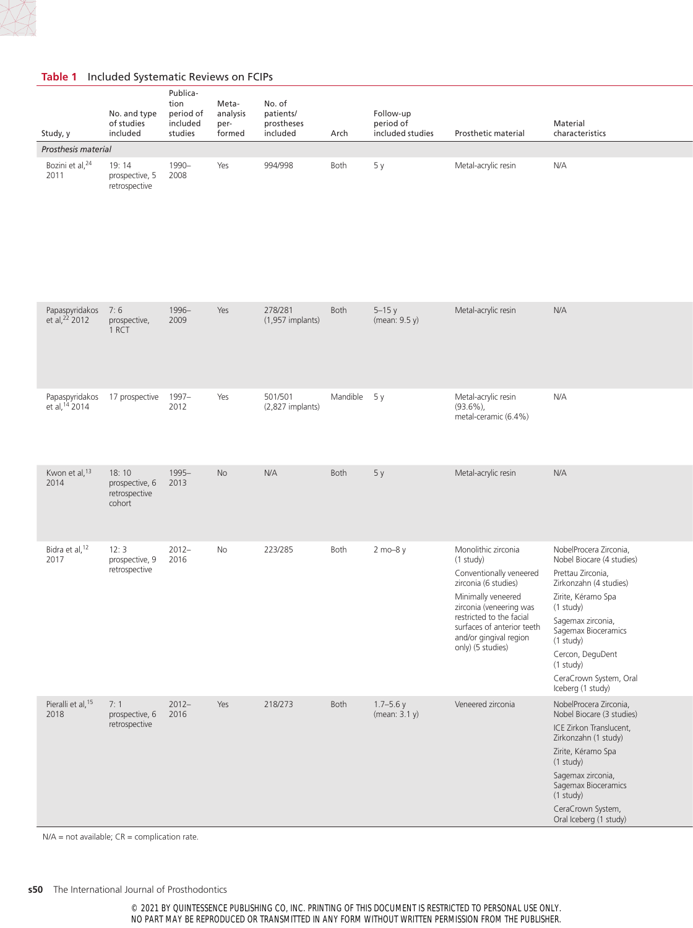

| Study, y                                        | No. and type<br>of studies<br>included             | Publica-<br>tion<br>period of<br>included<br>studies | Meta-<br>analysis<br>per-<br>formed | No. of<br>patients/<br>prostheses<br>included | Arch         | Follow-up<br>period of<br>included studies | Prosthetic material                                                                                                                                                                                                                           | Material<br>characteristics                                                                                                                                                                                                                                                         |
|-------------------------------------------------|----------------------------------------------------|------------------------------------------------------|-------------------------------------|-----------------------------------------------|--------------|--------------------------------------------|-----------------------------------------------------------------------------------------------------------------------------------------------------------------------------------------------------------------------------------------------|-------------------------------------------------------------------------------------------------------------------------------------------------------------------------------------------------------------------------------------------------------------------------------------|
| Prosthesis material                             |                                                    |                                                      |                                     |                                               |              |                                            |                                                                                                                                                                                                                                               |                                                                                                                                                                                                                                                                                     |
| Bozini et al, <sup>24</sup><br>2011             | 19:14<br>prospective, 5<br>retrospective           | 1990-<br>2008                                        | Yes                                 | 994/998                                       | Both         | 5y                                         | Metal-acrylic resin                                                                                                                                                                                                                           | N/A                                                                                                                                                                                                                                                                                 |
| Papaspyridakos 7:6<br>et al, <sup>22</sup> 2012 | prospective,<br>1 RCT                              | 1996-<br>2009                                        | Yes                                 | 278/281<br>$(1,957)$ implants)                | Both         | $5-15y$<br>(mean: 9.5 y)                   | Metal-acrylic resin                                                                                                                                                                                                                           | N/A                                                                                                                                                                                                                                                                                 |
| Papaspyridakos<br>et al, 14 2014                | 17 prospective 1997-                               | 2012                                                 | Yes                                 | 501/501<br>(2,827 implants)                   | Mandible 5 y |                                            | Metal-acrylic resin<br>$(93.6\%)$<br>metal-ceramic (6.4%)                                                                                                                                                                                     | N/A                                                                                                                                                                                                                                                                                 |
| Kwon et al, 13<br>2014                          | 18:10<br>prospective, 6<br>retrospective<br>cohort | 1995-<br>2013                                        | No                                  | N/A                                           | Both         | 5y                                         | Metal-acrylic resin                                                                                                                                                                                                                           | N/A                                                                                                                                                                                                                                                                                 |
| Bidra et al, 12<br>2017                         | 12:3<br>prospective, 9<br>retrospective            | $2012 -$<br>2016                                     | No                                  | 223/285                                       | Both         | 2 mo-8 y                                   | Monolithic zirconia<br>(1 study)<br>Conventionally veneered<br>zirconia (6 studies)<br>Minimally veneered<br>zirconia (veneering was<br>restricted to the facial<br>surfaces of anterior teeth<br>and/or gingival region<br>only) (5 studies) | NobelProcera Zirconia,<br>Nobel Biocare (4 studies)<br>Prettau Zirconia,<br>Zirkonzahn (4 studies)<br>Zirite, Kéramo Spa<br>(1 study)<br>Sagemax zirconia,<br>Sagemax Bioceramics<br>(1 study)<br>Cercon, DeguDent<br>$(1$ study $)$<br>CeraCrown System, Oral<br>Iceberg (1 study) |
| Pieralli et al, 15<br>2018                      | 7:1<br>prospective, 6<br>retrospective             | $2012 -$<br>2016                                     | Yes                                 | 218/273                                       | Both         | $1.7 - 5.6$ y<br>(mean: 3.1 y)             | Veneered zirconia                                                                                                                                                                                                                             | NobelProcera Zirconia,<br>Nobel Biocare (3 studies)<br>ICE Zirkon Translucent,<br>Zirkonzahn (1 study)<br>Zirite, Kéramo Spa<br>(1 study)<br>Sagemax zirconia,<br>Sagemax Bioceramics<br>$(1$ study $)$<br>CeraCrown System,<br>Oral Iceberg (1 study)                              |

**Table 1** Included Systematic Reviews on FCIPs

N/A = not available; CR = complication rate.

© 2021 BY QUINTESSENCE PUBLISHING CO, INC. PRINTING OF THIS DOCUMENT IS RESTRICTED TO PERSONAL USE ONLY. NO PART MAY BE REPRODUCED OR TRANSMITTED IN ANY FORM WITHOUT WRITTEN PERMISSION FROM THE PUBLISHER.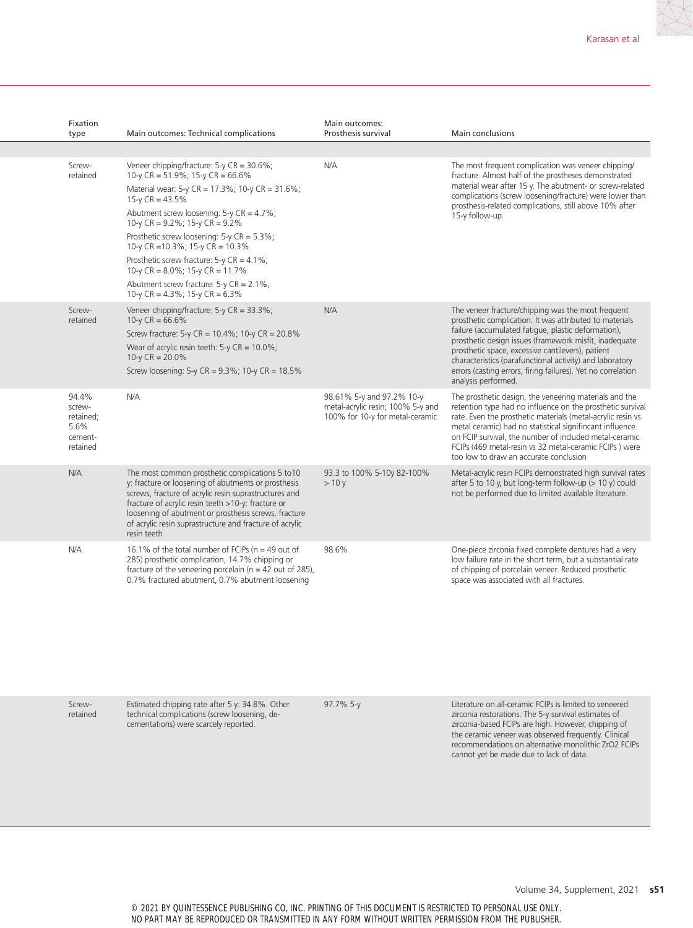| Fixation<br>type                                            | Main outcomes: Technical complications                                                                                                                                                                                                                                                                                                                   | Main outcomes:<br>Prosthesis survival                                                             | Main conclusions                                                                                                                                                                                                                                                                                                                                                                                              |
|-------------------------------------------------------------|----------------------------------------------------------------------------------------------------------------------------------------------------------------------------------------------------------------------------------------------------------------------------------------------------------------------------------------------------------|---------------------------------------------------------------------------------------------------|---------------------------------------------------------------------------------------------------------------------------------------------------------------------------------------------------------------------------------------------------------------------------------------------------------------------------------------------------------------------------------------------------------------|
|                                                             |                                                                                                                                                                                                                                                                                                                                                          |                                                                                                   |                                                                                                                                                                                                                                                                                                                                                                                                               |
| Screw-<br>retained                                          | Veneer chipping/fracture: 5-y CR = 30.6%;<br>10-y CR = $51.9\%$ ; 15-y CR = $66.6\%$                                                                                                                                                                                                                                                                     | N/A                                                                                               | The most frequent complication was veneer chipping/<br>fracture. Almost half of the prostheses demonstrated                                                                                                                                                                                                                                                                                                   |
|                                                             | Material wear: 5-y CR = 17.3%; 10-y CR = 31.6%;<br>$15-y$ CR = 43.5%                                                                                                                                                                                                                                                                                     |                                                                                                   | material wear after 15 y. The abutment- or screw-related<br>complications (screw loosening/fracture) were lower than                                                                                                                                                                                                                                                                                          |
|                                                             | Abutment screw loosening: $5-y CR = 4.7\%$ ;<br>10-y CR = $9.2\%$ ; 15-y CR = $9.2\%$                                                                                                                                                                                                                                                                    |                                                                                                   | prosthesis-related complications, still above 10% after<br>15-y follow-up.                                                                                                                                                                                                                                                                                                                                    |
|                                                             | Prosthetic screw loosening: $5-y$ CR = $5.3\%$ ;<br>10-y CR = 10.3%; 15-y CR = $10.3\%$                                                                                                                                                                                                                                                                  |                                                                                                   |                                                                                                                                                                                                                                                                                                                                                                                                               |
|                                                             | Prosthetic screw fracture: $5-y$ CR = 4.1%;<br>10-y CR = $8.0\%$ ; 15-y CR = 11.7%                                                                                                                                                                                                                                                                       |                                                                                                   |                                                                                                                                                                                                                                                                                                                                                                                                               |
|                                                             | Abutment screw fracture: $5-y$ CR = 2.1%;<br>10-y CR = $4.3\%$ ; 15-y CR = $6.3\%$                                                                                                                                                                                                                                                                       |                                                                                                   |                                                                                                                                                                                                                                                                                                                                                                                                               |
| Screw-<br>retained                                          | Veneer chipping/fracture: 5-y CR = 33.3%;<br>10-y $CR = 66.6\%$                                                                                                                                                                                                                                                                                          | N/A                                                                                               | The veneer fracture/chipping was the most frequent<br>prosthetic complication. It was attributed to materials                                                                                                                                                                                                                                                                                                 |
|                                                             | Screw fracture: 5-y CR = 10.4%; 10-y CR = 20.8%                                                                                                                                                                                                                                                                                                          |                                                                                                   | failure (accumulated fatigue, plastic deformation),                                                                                                                                                                                                                                                                                                                                                           |
|                                                             | Wear of acrylic resin teeth: $5-y$ CR = 10.0%;<br>10-y $CR = 20.0\%$                                                                                                                                                                                                                                                                                     |                                                                                                   | prosthetic design issues (framework misfit, inadequate<br>prosthetic space, excessive cantilevers), patient<br>characteristics (parafunctional activity) and laboratory                                                                                                                                                                                                                                       |
|                                                             | Screw loosening: $5-y$ CR = $9.3\%$ ; 10-y CR = $18.5\%$                                                                                                                                                                                                                                                                                                 |                                                                                                   | errors (casting errors, firing failures). Yet no correlation<br>analysis performed.                                                                                                                                                                                                                                                                                                                           |
| 94.4%<br>screw-<br>retained:<br>5.6%<br>cement-<br>retained | N/A                                                                                                                                                                                                                                                                                                                                                      | 98.61% 5-y and 97.2% 10-y<br>metal-acrylic resin; 100% 5-y and<br>100% for 10-y for metal-ceramic | The prosthetic design, the veneering materials and the<br>retention type had no influence on the prosthetic survival<br>rate. Even the prosthetic materials (metal-acrylic resin vs<br>metal ceramic) had no statistical signifincant influence<br>on FCIP survival, the number of included metal-ceramic<br>FCIPs (469 metal-resin vs 32 metal-ceramic FCIPs) were<br>too low to draw an accurate conclusion |
| N/A                                                         | The most common prosthetic complications 5 to 10<br>y: fracture or loosening of abutments or prosthesis<br>screws, fracture of acrylic resin suprastructures and<br>fracture of acrylic resin teeth >10-y: fracture or<br>loosening of abutment or prosthesis screws, fracture<br>of acrylic resin suprastructure and fracture of acrylic<br>resin teeth | 93.3 to 100% 5-10y 82-100%<br>>10v                                                                | Metal-acrylic resin FCIPs demonstrated high survival rates<br>after 5 to 10 y, but long-term follow-up $(> 10 y)$ could<br>not be performed due to limited available literature.                                                                                                                                                                                                                              |
| N/A                                                         | 16.1% of the total number of FCIPs ( $n = 49$ out of<br>285) prosthetic complication, 14.7% chipping or<br>fracture of the veneering porcelain ( $n = 42$ out of 285),<br>0.7% fractured abutment, 0.7% abutment loosening                                                                                                                               | 98.6%                                                                                             | One-piece zirconia fixed complete dentures had a very<br>low failure rate in the short term, but a substantial rate<br>of chipping of porcelain veneer. Reduced prosthetic<br>space was associated with all fractures.                                                                                                                                                                                        |

Screwretained Estimated chipping rate after 5 y: 34.8%. Other technical complications (screw loosening, decementations) were scarcely reported.

97.7% 5-y Literature on all-ceramic FCIPs is limited to veneered zirconia restorations. The 5-y survival estimates of zirconia-based FCIPs are high. However, chipping of the ceramic veneer was observed frequently. Clinical recommendations on alternative monolithic ZrO2 FCIPs cannot yet be made due to lack of data.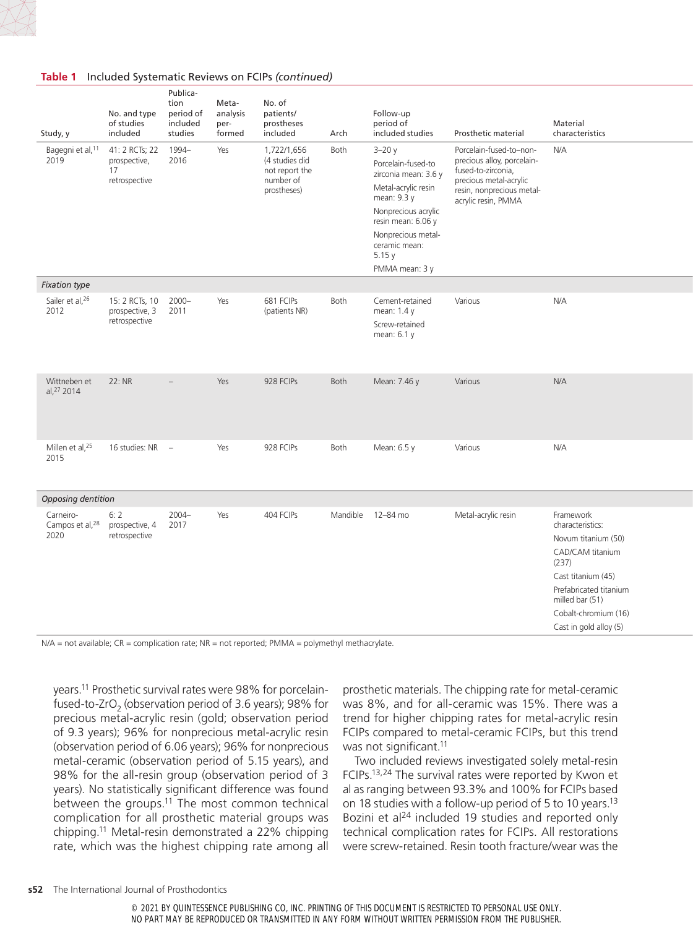| Study, y                                         | No. and type<br>of studies<br>included                       | Publica-<br>tion<br>period of<br>included<br>studies | Meta-<br>analysis<br>per-<br>formed | No. of<br>patients/<br>prostheses<br>included                               | Arch     | Follow-up<br>period of<br>included studies                                                                                                                                                                   | Prosthetic material                                                                                                                                       | Material<br>characteristics                                                                                                                                                                            |
|--------------------------------------------------|--------------------------------------------------------------|------------------------------------------------------|-------------------------------------|-----------------------------------------------------------------------------|----------|--------------------------------------------------------------------------------------------------------------------------------------------------------------------------------------------------------------|-----------------------------------------------------------------------------------------------------------------------------------------------------------|--------------------------------------------------------------------------------------------------------------------------------------------------------------------------------------------------------|
| Bagegni et al, 11<br>2019                        | 41: 2 RCTs; 22<br>prospective,<br>17<br>retrospective        | 1994-<br>2016                                        | Yes                                 | 1,722/1,656<br>(4 studies did<br>not report the<br>number of<br>prostheses) | Both     | $3 - 20y$<br>Porcelain-fused-to<br>zirconia mean: 3.6 y<br>Metal-acrylic resin<br>mean: 9.3 y<br>Nonprecious acrylic<br>resin mean: 6.06 y<br>Nonprecious metal-<br>ceramic mean:<br>5.15y<br>PMMA mean: 3 y | Porcelain-fused-to-non-<br>precious alloy, porcelain-<br>fused-to-zirconia,<br>precious metal-acrylic<br>resin, nonprecious metal-<br>acrylic resin, PMMA | N/A                                                                                                                                                                                                    |
| <b>Fixation type</b>                             |                                                              |                                                      |                                     |                                                                             |          |                                                                                                                                                                                                              |                                                                                                                                                           |                                                                                                                                                                                                        |
| Sailer et al, 26<br>2012                         | 15: 2 RCTs, 10 2000-<br>prospective, 3 2011<br>retrospective |                                                      | Yes                                 | 681 FCIPs<br>(patients NR)                                                  | Both     | Cement-retained<br>mean: 1.4 y<br>Screw-retained<br>mean: 6.1 y                                                                                                                                              | Various                                                                                                                                                   | N/A                                                                                                                                                                                                    |
| Wittneben et<br>al, 27 2014                      | 22: NR                                                       | $\overline{\phantom{a}}$                             | Yes                                 | 928 FCIPs                                                                   | Both     | Mean: 7.46 y                                                                                                                                                                                                 | Various                                                                                                                                                   | N/A                                                                                                                                                                                                    |
| Millen et al, <sup>25</sup><br>2015              | 16 studies: NR -                                             |                                                      | Yes                                 | 928 FCIPs                                                                   | Both     | Mean: 6.5 y                                                                                                                                                                                                  | Various                                                                                                                                                   | N/A                                                                                                                                                                                                    |
| Opposing dentition                               |                                                              |                                                      |                                     |                                                                             |          |                                                                                                                                                                                                              |                                                                                                                                                           |                                                                                                                                                                                                        |
| Carneiro-<br>Campos et al, <sup>28</sup><br>2020 | 6:2<br>prospective, 4<br>retrospective                       | $2004 -$<br>2017                                     | Yes                                 | 404 FCIPs                                                                   | Mandible | 12-84 mo                                                                                                                                                                                                     | Metal-acrylic resin                                                                                                                                       | Framework<br>characteristics:<br>Novum titanium (50)<br>CAD/CAM titanium<br>(237)<br>Cast titanium (45)<br>Prefabricated titanium<br>milled bar (51)<br>Cobalt-chromium (16)<br>Cast in gold alloy (5) |

### **Table 1** Included Systematic Reviews on FCIPs *(continued)*

N/A = not available; CR = complication rate; NR = not reported; PMMA = polymethyl methacrylate.

years.11 Prosthetic survival rates were 98% for porcelainfused-to-ZrO<sub>2</sub> (observation period of 3.6 years); 98% for precious metal-acrylic resin (gold; observation period of 9.3 years); 96% for nonprecious metal-acrylic resin (observation period of 6.06 years); 96% for nonprecious metal-ceramic (observation period of 5.15 years), and 98% for the all-resin group (observation period of 3 years). No statistically significant difference was found between the groups.11 The most common technical complication for all prosthetic material groups was chipping.11 Metal-resin demonstrated a 22% chipping rate, which was the highest chipping rate among all prosthetic materials. The chipping rate for metal-ceramic was 8%, and for all-ceramic was 15%. There was a trend for higher chipping rates for metal-acrylic resin FCIPs compared to metal-ceramic FCIPs, but this trend was not significant.<sup>11</sup>

Two included reviews investigated solely metal-resin FCIPs.13,24 The survival rates were reported by Kwon et al as ranging between 93.3% and 100% for FCIPs based on 18 studies with a follow-up period of 5 to 10 years.<sup>13</sup> Bozini et al<sup>24</sup> included 19 studies and reported only technical complication rates for FCIPs. All restorations were screw-retained. Resin tooth fracture/wear was the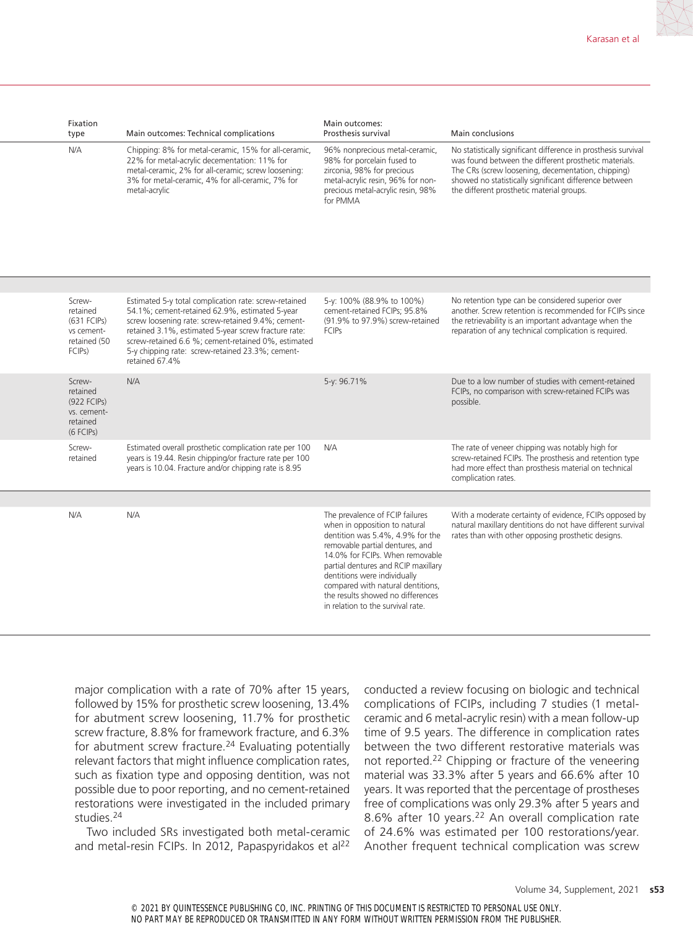| Fixation<br>type | Main outcomes: Technical complications                                                                                                                                                                                           | Main outcomes:<br>Prosthesis survival                                                                                                                                            | <b>Main conclusions</b>                                                                                                                                                                                                                                                                                                                                                                                         |
|------------------|----------------------------------------------------------------------------------------------------------------------------------------------------------------------------------------------------------------------------------|----------------------------------------------------------------------------------------------------------------------------------------------------------------------------------|-----------------------------------------------------------------------------------------------------------------------------------------------------------------------------------------------------------------------------------------------------------------------------------------------------------------------------------------------------------------------------------------------------------------|
| N/A              | Chipping: 8% for metal-ceramic, 15% for all-ceramic,<br>22% for metal-acrylic decementation: 11% for<br>metal-ceramic, 2% for all-ceramic; screw loosening:<br>3% for metal-ceramic, 4% for all-ceramic, 7% for<br>metal-acrylic | 96% nonprecious metal-ceramic,<br>98% for porcelain fused to<br>zirconia, 98% for precious<br>metal-acrylic resin, 96% for non-<br>precious metal-acrylic resin, 98%<br>for PMMA | No statistically significant difference in prosthesis survival<br>was found between the different prosthetic materials.<br>The CRs (screw loosening, decementation, chipping)<br>showed no statistically significant difference between<br>the different prosthetic material groups.                                                                                                                            |
|                  |                                                                                                                                                                                                                                  |                                                                                                                                                                                  |                                                                                                                                                                                                                                                                                                                                                                                                                 |
| Screw-           | Estimated 5-y total complication rate: screw-retained                                                                                                                                                                            | 5-y: 100% (88.9% to 100%)                                                                                                                                                        | No retention type can be considered superior over<br>$\mathbf{u} = \mathbf{v}$ , $\mathbf{v} = \mathbf{v}$ , $\mathbf{v} = \mathbf{v}$ , $\mathbf{v} = \mathbf{v}$ , $\mathbf{v} = \mathbf{v}$ , $\mathbf{v} = \mathbf{v}$ , $\mathbf{v} = \mathbf{v}$ , $\mathbf{v} = \mathbf{v}$ , $\mathbf{v} = \mathbf{v}$ , $\mathbf{v} = \mathbf{v}$ , $\mathbf{v} = \mathbf{v}$ , $\mathbf{v} = \mathbf{v}$ , $\mathbf{$ |

| retained<br>(631 FCIPs)<br>vs cement-<br>retained (50<br>FCIP <sub>S</sub> ) | 54.1%; cement-retained 62.9%, estimated 5-year<br>screw loosening rate: screw-retained 9.4%; cement-<br>retained 3.1%, estimated 5-year screw fracture rate:<br>screw-retained 6.6 %; cement-retained 0%, estimated<br>5-y chipping rate: screw-retained 23.3%; cement-<br>retained 67.4% | cement-retained FCIPs; 95.8%<br>(91.9% to 97.9%) screw-retained<br><b>FCIPs</b>                                                                                                                                                                                                                                                                                  | another. Screw retention is recommended for FCIPs since<br>the retrievability is an important advantage when the<br>reparation of any technical complication is required.                   |
|------------------------------------------------------------------------------|-------------------------------------------------------------------------------------------------------------------------------------------------------------------------------------------------------------------------------------------------------------------------------------------|------------------------------------------------------------------------------------------------------------------------------------------------------------------------------------------------------------------------------------------------------------------------------------------------------------------------------------------------------------------|---------------------------------------------------------------------------------------------------------------------------------------------------------------------------------------------|
| Screw-<br>retained<br>(922 FCIPs)<br>vs. cement-<br>retained<br>$(6$ FCIPs)  | N/A                                                                                                                                                                                                                                                                                       | 5-y: 96.71%                                                                                                                                                                                                                                                                                                                                                      | Due to a low number of studies with cement-retained<br>FCIPs, no comparison with screw-retained FCIPs was<br>possible.                                                                      |
| Screw-<br>retained                                                           | Estimated overall prosthetic complication rate per 100<br>years is 19.44. Resin chipping/or fracture rate per 100<br>years is 10.04. Fracture and/or chipping rate is 8.95                                                                                                                | N/A                                                                                                                                                                                                                                                                                                                                                              | The rate of veneer chipping was notably high for<br>screw-retained FCIPs. The prosthesis and retention type<br>had more effect than prosthesis material on technical<br>complication rates. |
| N/A                                                                          | N/A                                                                                                                                                                                                                                                                                       | The prevalence of FCIP failures<br>when in opposition to natural<br>dentition was 5.4%, 4.9% for the<br>removable partial dentures, and<br>14.0% for FCIPs. When removable<br>partial dentures and RCIP maxillary<br>dentitions were individually<br>compared with natural dentitions,<br>the results showed no differences<br>in relation to the survival rate. | With a moderate certainty of evidence, FCIPs opposed by<br>natural maxillary dentitions do not have different survival<br>rates than with other opposing prosthetic designs.                |

major complication with a rate of 70% after 15 years, followed by 15% for prosthetic screw loosening, 13.4% for abutment screw loosening, 11.7% for prosthetic screw fracture, 8.8% for framework fracture, and 6.3% for abutment screw fracture.<sup>24</sup> Evaluating potentially relevant factors that might influence complication rates, such as fixation type and opposing dentition, was not possible due to poor reporting, and no cement-retained restorations were investigated in the included primary studies.24

Two included SRs investigated both metal-ceramic and metal-resin FCIPs. In 2012, Papaspyridakos et al<sup>22</sup> conducted a review focusing on biologic and technical complications of FCIPs, including 7 studies (1 metalceramic and 6 metal-acrylic resin) with a mean follow-up time of 9.5 years. The difference in complication rates between the two different restorative materials was not reported.<sup>22</sup> Chipping or fracture of the veneering material was 33.3% after 5 years and 66.6% after 10 years. It was reported that the percentage of prostheses free of complications was only 29.3% after 5 years and 8.6% after 10 years.<sup>22</sup> An overall complication rate of 24.6% was estimated per 100 restorations/year. Another frequent technical complication was screw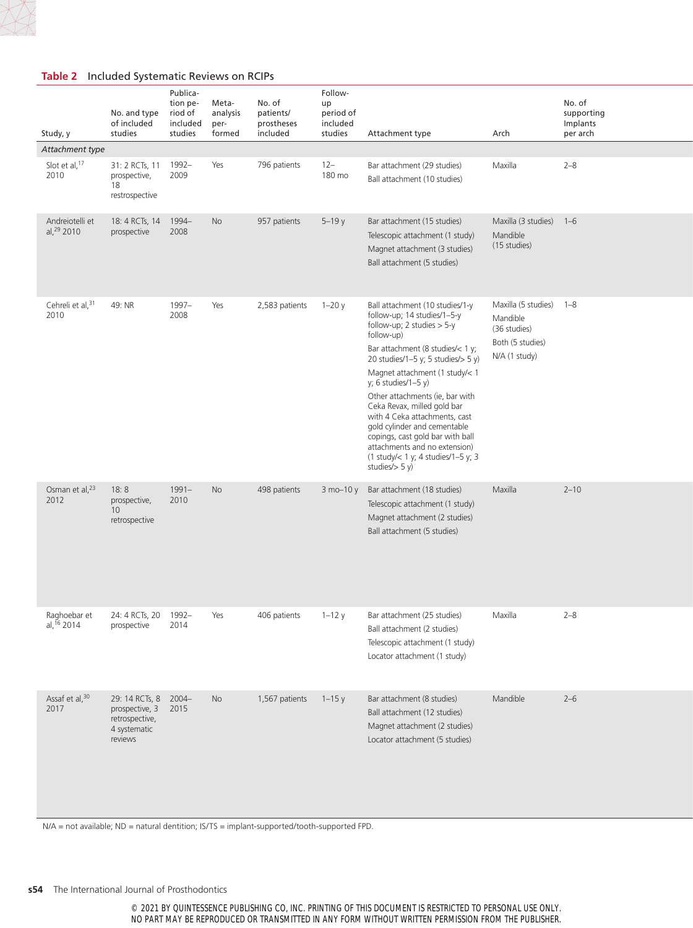## **Table 2** Included Systematic Reviews on RCIPs

| Study, y                                                                     | No. and type<br>of included<br>studies                                                   | Publica-<br>tion pe-<br>riod of<br>included<br>studies | Meta-<br>analysis<br>per-<br>formed | No. of<br>patients/<br>prostheses<br>included | Follow-<br>up<br>period of<br>included<br>studies | Attachment type                                                                                                                                                                                                                                                                                                                                                                                                                                                                                                        | Arch                                                                                     | No. of<br>supporting<br>Implants<br>per arch |
|------------------------------------------------------------------------------|------------------------------------------------------------------------------------------|--------------------------------------------------------|-------------------------------------|-----------------------------------------------|---------------------------------------------------|------------------------------------------------------------------------------------------------------------------------------------------------------------------------------------------------------------------------------------------------------------------------------------------------------------------------------------------------------------------------------------------------------------------------------------------------------------------------------------------------------------------------|------------------------------------------------------------------------------------------|----------------------------------------------|
| Attachment type                                                              |                                                                                          |                                                        |                                     |                                               |                                                   |                                                                                                                                                                                                                                                                                                                                                                                                                                                                                                                        |                                                                                          |                                              |
| Slot et al, 17<br>2010                                                       | 31: 2 RCTs, 11 1992-<br>prospective,<br>18<br>restrospective                             | 2009                                                   | Yes                                 | 796 patients                                  | $12 -$<br>180 mo                                  | Bar attachment (29 studies)<br>Ball attachment (10 studies)                                                                                                                                                                                                                                                                                                                                                                                                                                                            | Maxilla                                                                                  | $2 - 8$                                      |
| Andreiotelli et<br>al, 29 2010                                               | 18: 4 RCTs, 14 1994-<br>prospective                                                      | 2008                                                   | No                                  | 957 patients                                  | $5 - 19y$                                         | Bar attachment (15 studies)<br>Telescopic attachment (1 study)<br>Magnet attachment (3 studies)<br>Ball attachment (5 studies)                                                                                                                                                                                                                                                                                                                                                                                         | Maxilla (3 studies) 1-6<br>Mandible<br>(15 studies)                                      |                                              |
| Cehreli et al, 31<br>2010                                                    | 49: NR                                                                                   | 1997-<br>2008                                          | Yes                                 | 2,583 patients                                | $1-20y$                                           | Ball attachment (10 studies/1-y<br>follow-up; 14 studies/1-5-y<br>follow-up; 2 studies $>$ 5-y<br>follow-up)<br>Bar attachment (8 studies/< 1 y;<br>20 studies/1-5 y; 5 studies/ $>$ 5 y)<br>Magnet attachment (1 study/< 1<br>y; 6 studies/1-5 y)<br>Other attachments (ie, bar with<br>Ceka Revax, milled gold bar<br>with 4 Ceka attachments, cast<br>gold cylinder and cementable<br>copings, cast gold bar with ball<br>attachments and no extension)<br>(1 study/< 1 y; 4 studies/1-5 y; 3<br>studies $/$ > 5 y) | Maxilla (5 studies) 1-8<br>Mandible<br>(36 studies)<br>Both (5 studies)<br>N/A (1 study) |                                              |
| Osman et al, <sup>23</sup><br>2012                                           | 18:8<br>prospective,<br>10<br>retrospective                                              | $1991 -$<br>2010                                       | No                                  | 498 patients                                  |                                                   | 3 mo-10 y Bar attachment (18 studies)<br>Telescopic attachment (1 study)<br>Magnet attachment (2 studies)<br>Ball attachment (5 studies)                                                                                                                                                                                                                                                                                                                                                                               | Maxilla                                                                                  | $2 - 10$                                     |
| Raghoebar et 24: 4 RCTs, 20 1992-<br>al, <sup>16</sup> 2014 prospective 2014 |                                                                                          |                                                        | Yes                                 | 406 patients                                  | $1-12y$                                           | Bar attachment (25 studies)<br>Ball attachment (2 studies)<br>Telescopic attachment (1 study)<br>Locator attachment (1 study)                                                                                                                                                                                                                                                                                                                                                                                          | Maxilla                                                                                  | $2 - 8$                                      |
| Assaf et al, 30<br>2017                                                      | 29: 14 RCTs, 8 2004-<br>prospective, 3 2015<br>retrospective,<br>4 systematic<br>reviews |                                                        | No                                  | 1,567 patients $1-15y$                        |                                                   | Bar attachment (8 studies)<br>Ball attachment (12 studies)<br>Magnet attachment (2 studies)<br>Locator attachment (5 studies)                                                                                                                                                                                                                                                                                                                                                                                          | Mandible                                                                                 | $2 - 6$                                      |

N/A = not available; ND = natural dentition; IS/TS = implant-supported/tooth-supported FPD.

#### **s54** The International Journal of Prosthodontics

© 2021 BY QUINTESSENCE PUBLISHING CO, INC. PRINTING OF THIS DOCUMENT IS RESTRICTED TO PERSONAL USE ONLY. NO PART MAY BE REPRODUCED OR TRANSMITTED IN ANY FORM WITHOUT WRITTEN PERMISSION FROM THE PUBLISHER.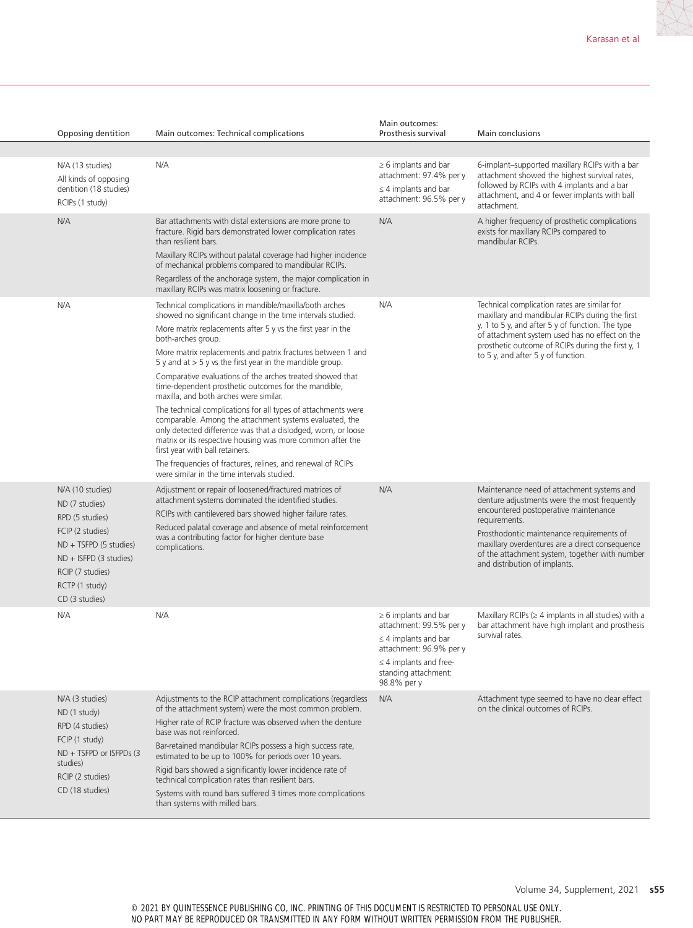| Opposing dentition                                                                                                                                                                        | Main outcomes: Technical complications                                                                                                                                                                                                                                                                                                                                                                                                                                                                                                                      | Main outcomes:<br>Prosthesis survival                                                                                                                                              | Main conclusions                                                                                                                                                                                                                                                                                                                        |
|-------------------------------------------------------------------------------------------------------------------------------------------------------------------------------------------|-------------------------------------------------------------------------------------------------------------------------------------------------------------------------------------------------------------------------------------------------------------------------------------------------------------------------------------------------------------------------------------------------------------------------------------------------------------------------------------------------------------------------------------------------------------|------------------------------------------------------------------------------------------------------------------------------------------------------------------------------------|-----------------------------------------------------------------------------------------------------------------------------------------------------------------------------------------------------------------------------------------------------------------------------------------------------------------------------------------|
|                                                                                                                                                                                           |                                                                                                                                                                                                                                                                                                                                                                                                                                                                                                                                                             |                                                                                                                                                                                    |                                                                                                                                                                                                                                                                                                                                         |
| N/A (13 studies)<br>All kinds of opposing<br>dentition (18 studies)<br>RCIPs (1 study)                                                                                                    | N/A                                                                                                                                                                                                                                                                                                                                                                                                                                                                                                                                                         | $\geq 6$ implants and bar<br>attachment: 97.4% per y<br>$\leq$ 4 implants and bar<br>attachment: 96.5% per y                                                                       | 6-implant-supported maxillary RCIPs with a bar<br>attachment showed the highest survival rates,<br>followed by RCIPs with 4 implants and a bar<br>attachment, and 4 or fewer implants with ball<br>attachment.                                                                                                                          |
| N/A                                                                                                                                                                                       | Bar attachments with distal extensions are more prone to<br>fracture. Rigid bars demonstrated lower complication rates<br>than resilient bars.<br>Maxillary RCIPs without palatal coverage had higher incidence<br>of mechanical problems compared to mandibular RCIPs.<br>Regardless of the anchorage system, the major complication in<br>maxillary RCIPs was matrix loosening or fracture.                                                                                                                                                               | N/A                                                                                                                                                                                | A higher frequency of prosthetic complications<br>exists for maxillary RCIPs compared to<br>mandibular RCIPs.                                                                                                                                                                                                                           |
| N/A                                                                                                                                                                                       | Technical complications in mandible/maxilla/both arches                                                                                                                                                                                                                                                                                                                                                                                                                                                                                                     | N/A                                                                                                                                                                                | Technical complication rates are similar for                                                                                                                                                                                                                                                                                            |
|                                                                                                                                                                                           | showed no significant change in the time intervals studied.<br>More matrix replacements after 5 y vs the first year in the<br>both-arches group.                                                                                                                                                                                                                                                                                                                                                                                                            |                                                                                                                                                                                    | maxillary and mandibular RCIPs during the first<br>y, 1 to 5 y, and after 5 y of function. The type<br>of attachment system used has no effect on the<br>prosthetic outcome of RCIPs during the first y, 1                                                                                                                              |
|                                                                                                                                                                                           | More matrix replacements and patrix fractures between 1 and<br>5 y and at $>$ 5 y vs the first year in the mandible group.                                                                                                                                                                                                                                                                                                                                                                                                                                  |                                                                                                                                                                                    | to 5 y, and after 5 y of function.                                                                                                                                                                                                                                                                                                      |
|                                                                                                                                                                                           | Comparative evaluations of the arches treated showed that<br>time-dependent prosthetic outcomes for the mandible,<br>maxilla, and both arches were similar.                                                                                                                                                                                                                                                                                                                                                                                                 |                                                                                                                                                                                    |                                                                                                                                                                                                                                                                                                                                         |
|                                                                                                                                                                                           | The technical complications for all types of attachments were<br>comparable. Among the attachment systems evaluated, the<br>only detected difference was that a dislodged, worn, or loose<br>matrix or its respective housing was more common after the<br>first year with ball retainers.                                                                                                                                                                                                                                                                  |                                                                                                                                                                                    |                                                                                                                                                                                                                                                                                                                                         |
|                                                                                                                                                                                           | The frequencies of fractures, relines, and renewal of RCIPs<br>were similar in the time intervals studied.                                                                                                                                                                                                                                                                                                                                                                                                                                                  |                                                                                                                                                                                    |                                                                                                                                                                                                                                                                                                                                         |
| N/A (10 studies)<br>ND (7 studies)<br>RPD (5 studies)<br>FCIP (2 studies)<br>$ND + TSFPD (5 studies)$<br>$ND + ISFPD (3 studies)$<br>RCIP (7 studies)<br>RCTP (1 study)<br>CD (3 studies) | Adjustment or repair of loosened/fractured matrices of<br>attachment systems dominated the identified studies.<br>RCIPs with cantilevered bars showed higher failure rates.<br>Reduced palatal coverage and absence of metal reinforcement<br>was a contributing factor for higher denture base<br>complications.                                                                                                                                                                                                                                           | N/A                                                                                                                                                                                | Maintenance need of attachment systems and<br>denture adjustments were the most frequently<br>encountered postoperative maintenance<br>requirements.<br>Prosthodontic maintenance requirements of<br>maxillary overdentures are a direct consequence<br>of the attachment system, together with number<br>and distribution of implants. |
| N/A                                                                                                                                                                                       | N/A                                                                                                                                                                                                                                                                                                                                                                                                                                                                                                                                                         | $\geq 6$ implants and bar<br>attachment: 99.5% per y<br>$\leq$ 4 implants and bar<br>attachment: 96.9% per y<br>$\leq$ 4 implants and free-<br>standing attachment:<br>98.8% per y | Maxillary RCIPs ( $\geq 4$ implants in all studies) with a<br>bar attachment have high implant and prosthesis<br>survival rates.                                                                                                                                                                                                        |
| N/A (3 studies)<br>ND (1 study)<br>RPD (4 studies)<br>FCIP (1 study)<br>ND + TSFPD or ISFPDs (3<br>studies)<br>RCIP (2 studies)<br>CD (18 studies)                                        | Adjustments to the RCIP attachment complications (regardless<br>of the attachment system) were the most common problem.<br>Higher rate of RCIP fracture was observed when the denture<br>base was not reinforced.<br>Bar-retained mandibular RCIPs possess a high success rate,<br>estimated to be up to 100% for periods over 10 years.<br>Rigid bars showed a significantly lower incidence rate of<br>technical complication rates than resilient bars.<br>Systems with round bars suffered 3 times more complications<br>than systems with milled bars. | N/A                                                                                                                                                                                | Attachment type seemed to have no clear effect<br>on the clinical outcomes of RCIPs.                                                                                                                                                                                                                                                    |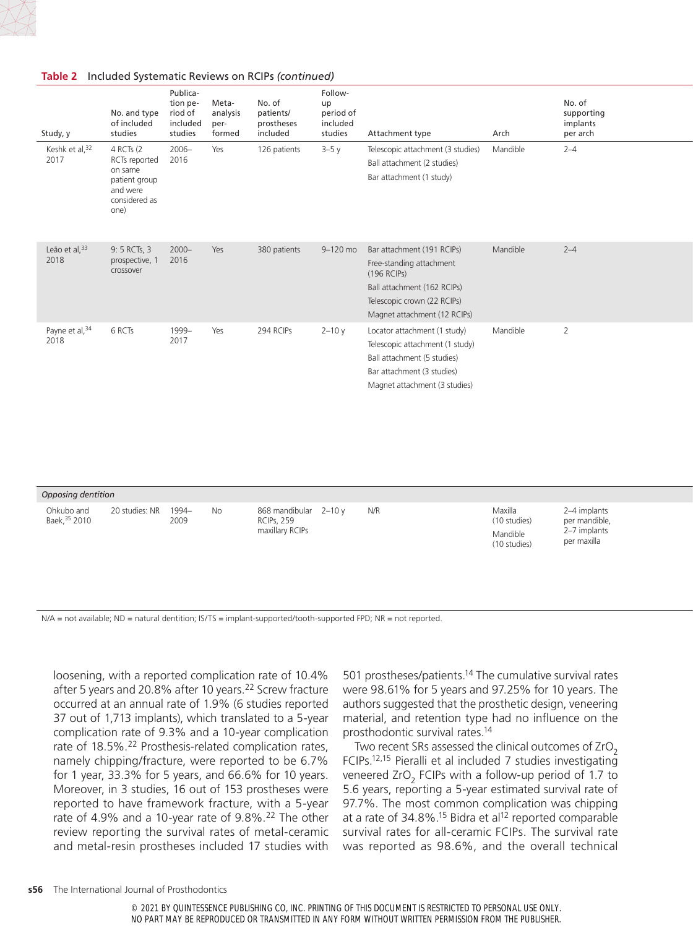#### **Table 2** Included Systematic Reviews on RCIPs *(continued)*

| Opposing dentition          |                |               |           |                                                               |  |     |                                                     |                                                              |  |  |
|-----------------------------|----------------|---------------|-----------|---------------------------------------------------------------|--|-----|-----------------------------------------------------|--------------------------------------------------------------|--|--|
| Ohkubo and<br>Baek, 35 2010 | 20 studies: NR | 1994-<br>2009 | <b>No</b> | 868 mandibular 2-10 y<br><b>RCIPs, 259</b><br>maxillary RCIPs |  | N/R | Maxilla<br>(10 studies)<br>Mandible<br>(10 studies) | 2-4 implants<br>per mandible,<br>2-7 implants<br>per maxilla |  |  |

N/A = not available; ND = natural dentition; IS/TS = implant-supported/tooth-supported FPD; NR = not reported.

loosening, with a reported complication rate of 10.4% after 5 years and 20.8% after 10 years.<sup>22</sup> Screw fracture occurred at an annual rate of 1.9% (6 studies reported 37 out of 1,713 implants), which translated to a 5-year complication rate of 9.3% and a 10-year complication rate of 18.5%.<sup>22</sup> Prosthesis-related complication rates, namely chipping/fracture, were reported to be 6.7% for 1 year, 33.3% for 5 years, and 66.6% for 10 years. Moreover, in 3 studies, 16 out of 153 prostheses were reported to have framework fracture, with a 5-year rate of 4.9% and a 10-year rate of 9.8%.<sup>22</sup> The other review reporting the survival rates of metal-ceramic and metal-resin prostheses included 17 studies with 501 prostheses/patients.<sup>14</sup> The cumulative survival rates were 98.61% for 5 years and 97.25% for 10 years. The authors suggested that the prosthetic design, veneering material, and retention type had no influence on the prosthodontic survival rates.14

Two recent SRs assessed the clinical outcomes of  $ZrO<sub>2</sub>$ FCIPs.12,15 Pieralli et al included 7 studies investigating veneered ZrO<sub>2</sub> FCIPs with a follow-up period of 1.7 to 5.6 years, reporting a 5-year estimated survival rate of 97.7%. The most common complication was chipping at a rate of  $34.8\%$ .<sup>15</sup> Bidra et al<sup>12</sup> reported comparable survival rates for all-ceramic FCIPs. The survival rate was reported as 98.6%, and the overall technical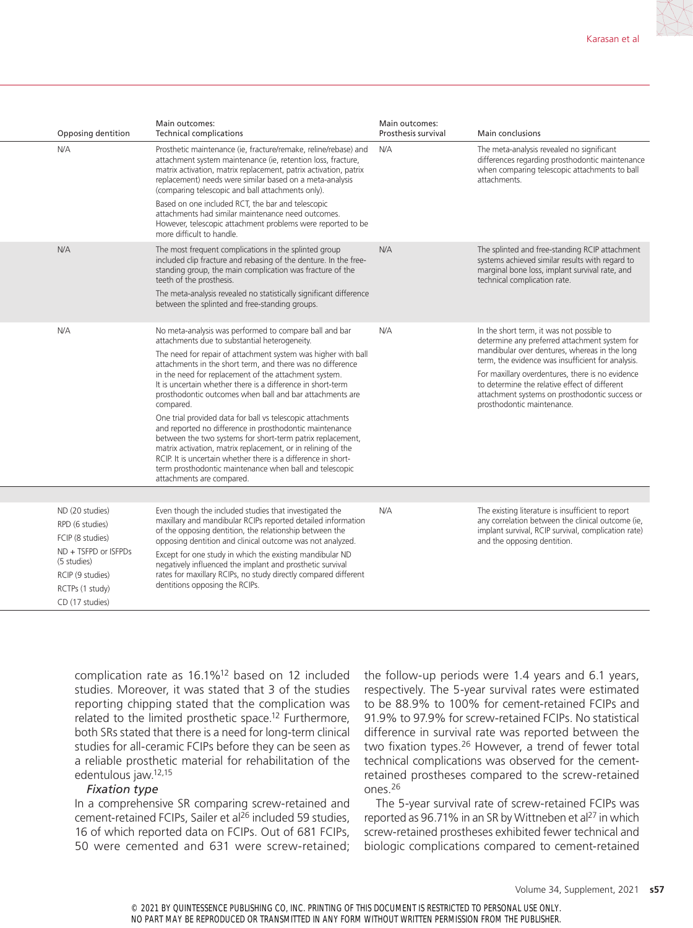| Opposing dentition                                                                                                                                      | Main outcomes:<br><b>Technical complications</b>                                                                                                                                                                                                                                                                                                                                                                                                                                                                                                                                                                                                                                                                                                                                                                                                        | Main outcomes:<br>Prosthesis survival | Main conclusions                                                                                                                                                                                                                                                                                                                                                                      |
|---------------------------------------------------------------------------------------------------------------------------------------------------------|---------------------------------------------------------------------------------------------------------------------------------------------------------------------------------------------------------------------------------------------------------------------------------------------------------------------------------------------------------------------------------------------------------------------------------------------------------------------------------------------------------------------------------------------------------------------------------------------------------------------------------------------------------------------------------------------------------------------------------------------------------------------------------------------------------------------------------------------------------|---------------------------------------|---------------------------------------------------------------------------------------------------------------------------------------------------------------------------------------------------------------------------------------------------------------------------------------------------------------------------------------------------------------------------------------|
| N/A                                                                                                                                                     | Prosthetic maintenance (ie, fracture/remake, reline/rebase) and<br>attachment system maintenance (ie, retention loss, fracture,<br>matrix activation, matrix replacement, patrix activation, patrix<br>replacement) needs were similar based on a meta-analysis<br>(comparing telescopic and ball attachments only).                                                                                                                                                                                                                                                                                                                                                                                                                                                                                                                                    | N/A                                   | The meta-analysis revealed no significant<br>differences regarding prosthodontic maintenance<br>when comparing telescopic attachments to ball<br>attachments.                                                                                                                                                                                                                         |
|                                                                                                                                                         | Based on one included RCT, the bar and telescopic<br>attachments had similar maintenance need outcomes.<br>However, telescopic attachment problems were reported to be<br>more difficult to handle.                                                                                                                                                                                                                                                                                                                                                                                                                                                                                                                                                                                                                                                     |                                       |                                                                                                                                                                                                                                                                                                                                                                                       |
| N/A                                                                                                                                                     | The most frequent complications in the splinted group<br>included clip fracture and rebasing of the denture. In the free-<br>standing group, the main complication was fracture of the<br>teeth of the prosthesis.                                                                                                                                                                                                                                                                                                                                                                                                                                                                                                                                                                                                                                      | N/A                                   | The splinted and free-standing RCIP attachment<br>systems achieved similar results with regard to<br>marginal bone loss, implant survival rate, and<br>technical complication rate.                                                                                                                                                                                                   |
|                                                                                                                                                         | The meta-analysis revealed no statistically significant difference<br>between the splinted and free-standing groups.                                                                                                                                                                                                                                                                                                                                                                                                                                                                                                                                                                                                                                                                                                                                    |                                       |                                                                                                                                                                                                                                                                                                                                                                                       |
| N/A                                                                                                                                                     | No meta-analysis was performed to compare ball and bar<br>attachments due to substantial heterogeneity.<br>The need for repair of attachment system was higher with ball<br>attachments in the short term, and there was no difference<br>in the need for replacement of the attachment system.<br>It is uncertain whether there is a difference in short-term<br>prosthodontic outcomes when ball and bar attachments are<br>compared.<br>One trial provided data for ball vs telescopic attachments<br>and reported no difference in prosthodontic maintenance<br>between the two systems for short-term patrix replacement,<br>matrix activation, matrix replacement, or in relining of the<br>RCIP. It is uncertain whether there is a difference in short-<br>term prosthodontic maintenance when ball and telescopic<br>attachments are compared. | N/A                                   | In the short term, it was not possible to<br>determine any preferred attachment system for<br>mandibular over dentures, whereas in the long<br>term, the evidence was insufficient for analysis.<br>For maxillary overdentures, there is no evidence<br>to determine the relative effect of different<br>attachment systems on prosthodontic success or<br>prosthodontic maintenance. |
|                                                                                                                                                         |                                                                                                                                                                                                                                                                                                                                                                                                                                                                                                                                                                                                                                                                                                                                                                                                                                                         |                                       |                                                                                                                                                                                                                                                                                                                                                                                       |
| ND (20 studies)<br>RPD (6 studies)<br>FCIP (8 studies)<br>ND + TSFPD or ISFPDs<br>(5 studies)<br>RCIP (9 studies)<br>RCTPs (1 study)<br>CD (17 studies) | Even though the included studies that investigated the<br>maxillary and mandibular RCIPs reported detailed information<br>of the opposing dentition, the relationship between the<br>opposing dentition and clinical outcome was not analyzed.<br>Except for one study in which the existing mandibular ND<br>negatively influenced the implant and prosthetic survival<br>rates for maxillary RCIPs, no study directly compared different<br>dentitions opposing the RCIPs.                                                                                                                                                                                                                                                                                                                                                                            | N/A                                   | The existing literature is insufficient to report<br>any correlation between the clinical outcome (ie,<br>implant survival, RCIP survival, complication rate)<br>and the opposing dentition.                                                                                                                                                                                          |

complication rate as 16.1%12 based on 12 included studies. Moreover, it was stated that 3 of the studies reporting chipping stated that the complication was related to the limited prosthetic space.<sup>12</sup> Furthermore, both SRs stated that there is a need for long-term clinical studies for all-ceramic FCIPs before they can be seen as a reliable prosthetic material for rehabilitation of the edentulous jaw.12,15

#### *Fixation type*

In a comprehensive SR comparing screw-retained and cement-retained FCIPs, Sailer et al<sup>26</sup> included 59 studies, 16 of which reported data on FCIPs. Out of 681 FCIPs, 50 were cemented and 631 were screw-retained; the follow-up periods were 1.4 years and 6.1 years, respectively. The 5-year survival rates were estimated to be 88.9% to 100% for cement-retained FCIPs and 91.9% to 97.9% for screw-retained FCIPs. No statistical difference in survival rate was reported between the two fixation types.<sup>26</sup> However, a trend of fewer total technical complications was observed for the cementretained prostheses compared to the screw-retained ones.26

The 5-year survival rate of screw-retained FCIPs was reported as 96.71% in an SR by Wittneben et al<sup>27</sup> in which screw-retained prostheses exhibited fewer technical and biologic complications compared to cement-retained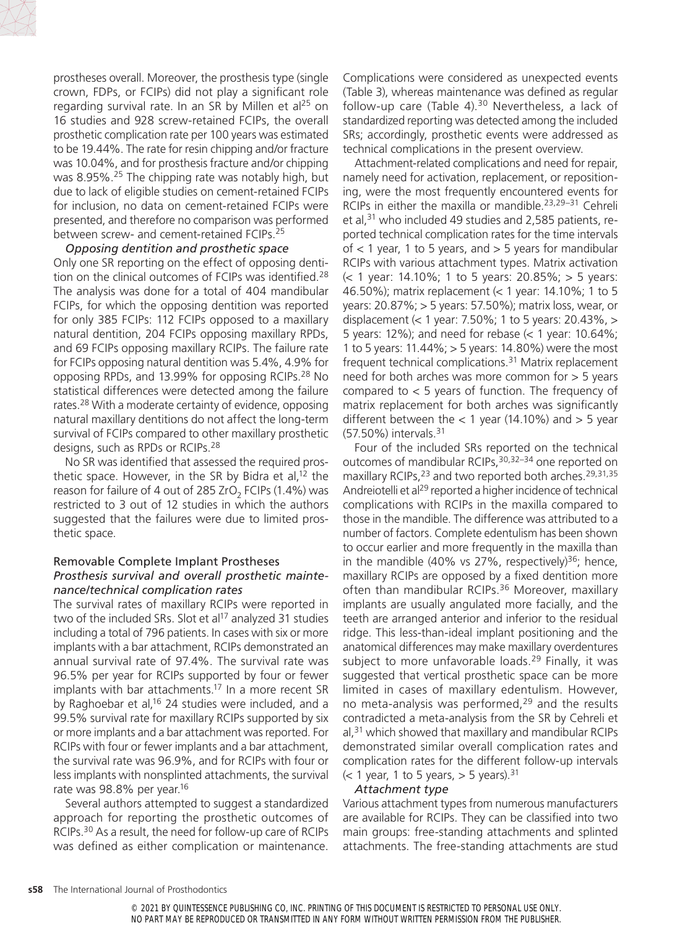

prostheses overall. Moreover, the prosthesis type (single crown, FDPs, or FCIPs) did not play a significant role regarding survival rate. In an SR by Millen et al $^{25}$  on 16 studies and 928 screw-retained FCIPs, the overall prosthetic complication rate per 100 years was estimated to be 19.44%. The rate for resin chipping and/or fracture was 10.04%, and for prosthesis fracture and/or chipping was 8.95%.<sup>25</sup> The chipping rate was notably high, but due to lack of eligible studies on cement-retained FCIPs for inclusion, no data on cement-retained FCIPs were presented, and therefore no comparison was performed between screw- and cement-retained FCIPs.25

#### *Opposing dentition and prosthetic space*

Only one SR reporting on the effect of opposing dentition on the clinical outcomes of FCIPs was identified.<sup>28</sup> The analysis was done for a total of 404 mandibular FCIPs, for which the opposing dentition was reported for only 385 FCIPs: 112 FCIPs opposed to a maxillary natural dentition, 204 FCIPs opposing maxillary RPDs, and 69 FCIPs opposing maxillary RCIPs. The failure rate for FCIPs opposing natural dentition was 5.4%, 4.9% for opposing RPDs, and 13.99% for opposing RCIPs.28 No statistical differences were detected among the failure rates.28 With a moderate certainty of evidence, opposing natural maxillary dentitions do not affect the long-term survival of FCIPs compared to other maxillary prosthetic designs, such as RPDs or RCIPs.28

No SR was identified that assessed the required prosthetic space. However, in the SR by Bidra et al,<sup>12</sup> the reason for failure of 4 out of 285 ZrO<sub>2</sub> FCIPs (1.4%) was restricted to 3 out of 12 studies in which the authors suggested that the failures were due to limited prosthetic space.

#### Removable Complete Implant Prostheses *Prosthesis survival and overall prosthetic maintenance/technical complication rates*

The survival rates of maxillary RCIPs were reported in two of the included SRs. Slot et al<sup>17</sup> analyzed 31 studies including a total of 796 patients. In cases with six or more implants with a bar attachment, RCIPs demonstrated an annual survival rate of 97.4%. The survival rate was 96.5% per year for RCIPs supported by four or fewer implants with bar attachments.<sup>17</sup> In a more recent SR by Raghoebar et al,<sup>16</sup> 24 studies were included, and a 99.5% survival rate for maxillary RCIPs supported by six or more implants and a bar attachment was reported. For RCIPs with four or fewer implants and a bar attachment, the survival rate was 96.9%, and for RCIPs with four or less implants with nonsplinted attachments, the survival rate was 98.8% per year.<sup>16</sup>

Several authors attempted to suggest a standardized approach for reporting the prosthetic outcomes of RCIPs.30 As a result, the need for follow-up care of RCIPs was defined as either complication or maintenance.

Complications were considered as unexpected events (Table 3), whereas maintenance was defined as regular follow-up care (Table 4). $30$  Nevertheless, a lack of standardized reporting was detected among the included SRs; accordingly, prosthetic events were addressed as technical complications in the present overview.

Attachment-related complications and need for repair, namely need for activation, replacement, or repositioning, were the most frequently encountered events for RCIPs in either the maxilla or mandible.<sup>23,29–31</sup> Cehreli et al,<sup>31</sup> who included 49 studies and 2,585 patients, reported technical complication rates for the time intervals of  $<$  1 year, 1 to 5 years, and  $>$  5 years for mandibular RCIPs with various attachment types. Matrix activation (< 1 year: 14.10%; 1 to 5 years: 20.85%; > 5 years: 46.50%); matrix replacement (< 1 year: 14.10%; 1 to 5 years: 20.87%; > 5 years: 57.50%); matrix loss, wear, or displacement (< 1 year: 7.50%; 1 to 5 years: 20.43%, > 5 years: 12%); and need for rebase (< 1 year: 10.64%; 1 to 5 years: 11.44%; > 5 years: 14.80%) were the most frequent technical complications.31 Matrix replacement need for both arches was more common for > 5 years compared to  $<$  5 years of function. The frequency of matrix replacement for both arches was significantly different between the  $< 1$  year (14.10%) and  $> 5$  year (57.50%) intervals.31

Four of the included SRs reported on the technical outcomes of mandibular RCIPs,  $30,32-34$  one reported on maxillary RCIPs,<sup>23</sup> and two reported both arches.<sup>29,31,35</sup> Andreiotelli et al<sup>29</sup> reported a higher incidence of technical complications with RCIPs in the maxilla compared to those in the mandible. The difference was attributed to a number of factors. Complete edentulism has been shown to occur earlier and more frequently in the maxilla than in the mandible (40% vs 27%, respectively)<sup>36</sup>; hence, maxillary RCIPs are opposed by a fixed dentition more often than mandibular RCIPs.<sup>36</sup> Moreover, maxillary implants are usually angulated more facially, and the teeth are arranged anterior and inferior to the residual ridge. This less-than-ideal implant positioning and the anatomical differences may make maxillary overdentures subject to more unfavorable loads.<sup>29</sup> Finally, it was suggested that vertical prosthetic space can be more limited in cases of maxillary edentulism. However, no meta-analysis was performed,<sup>29</sup> and the results contradicted a meta-analysis from the SR by Cehreli et al, $31$  which showed that maxillary and mandibular RCIPs demonstrated similar overall complication rates and complication rates for the different follow-up intervals  $\approx$  1 year, 1 to 5 years,  $>$  5 years).<sup>31</sup>

#### *Attachment type*

Various attachment types from numerous manufacturers are available for RCIPs. They can be classified into two main groups: free-standing attachments and splinted attachments. The free-standing attachments are stud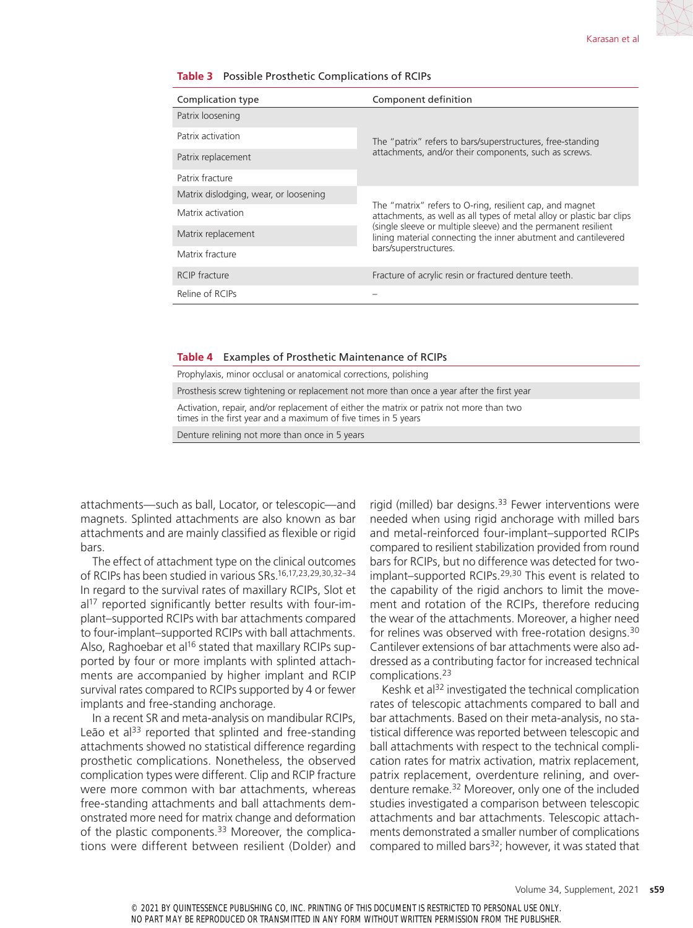| Complication type                     | Component definition                                                                                                                                                                                                                                                                           |  |
|---------------------------------------|------------------------------------------------------------------------------------------------------------------------------------------------------------------------------------------------------------------------------------------------------------------------------------------------|--|
| Patrix loosening                      |                                                                                                                                                                                                                                                                                                |  |
| Patrix activation                     | The "patrix" refers to bars/superstructures, free-standing<br>attachments, and/or their components, such as screws.                                                                                                                                                                            |  |
| Patrix replacement                    |                                                                                                                                                                                                                                                                                                |  |
| Patrix fracture                       |                                                                                                                                                                                                                                                                                                |  |
| Matrix dislodging, wear, or loosening | The "matrix" refers to O-ring, resilient cap, and magnet<br>attachments, as well as all types of metal alloy or plastic bar clips<br>(single sleeve or multiple sleeve) and the permanent resilient<br>lining material connecting the inner abutment and cantilevered<br>bars/superstructures. |  |
| Matrix activation                     |                                                                                                                                                                                                                                                                                                |  |
| Matrix replacement                    |                                                                                                                                                                                                                                                                                                |  |
| Matrix fracture                       |                                                                                                                                                                                                                                                                                                |  |
| <b>RCIP</b> fracture                  | Fracture of acrylic resin or fractured denture teeth.                                                                                                                                                                                                                                          |  |
| Reline of RCIPs                       |                                                                                                                                                                                                                                                                                                |  |

#### **Table 3** Possible Prosthetic Complications of RCIPs

#### **Table 4** Examples of Prosthetic Maintenance of RCIPs

| Prophylaxis, minor occlusal or anatomical corrections, polishing                                                                                          |
|-----------------------------------------------------------------------------------------------------------------------------------------------------------|
| Prosthesis screw tightening or replacement not more than once a year after the first year                                                                 |
| Activation, repair, and/or replacement of either the matrix or patrix not more than two<br>times in the first year and a maximum of five times in 5 years |
| Denture relining not more than once in 5 years                                                                                                            |

attachments—such as ball, Locator, or telescopic—and magnets. Splinted attachments are also known as bar attachments and are mainly classified as flexible or rigid bars.

The effect of attachment type on the clinical outcomes of RCIPs has been studied in various SRs.16,17,23,29,30,32–34 In regard to the survival rates of maxillary RCIPs, Slot et al<sup>17</sup> reported significantly better results with four-implant–supported RCIPs with bar attachments compared to four-implant–supported RCIPs with ball attachments. Also, Raghoebar et al<sup>16</sup> stated that maxillary RCIPs supported by four or more implants with splinted attachments are accompanied by higher implant and RCIP survival rates compared to RCIPs supported by 4 or fewer implants and free-standing anchorage.

In a recent SR and meta-analysis on mandibular RCIPs, Leão et al<sup>33</sup> reported that splinted and free-standing attachments showed no statistical difference regarding prosthetic complications. Nonetheless, the observed complication types were different. Clip and RCIP fracture were more common with bar attachments, whereas free-standing attachments and ball attachments demonstrated more need for matrix change and deformation of the plastic components.<sup>33</sup> Moreover, the complications were different between resilient (Dolder) and rigid (milled) bar designs.<sup>33</sup> Fewer interventions were needed when using rigid anchorage with milled bars and metal-reinforced four-implant–supported RCIPs compared to resilient stabilization provided from round bars for RCIPs, but no difference was detected for twoimplant–supported RCIPs.29,30 This event is related to the capability of the rigid anchors to limit the movement and rotation of the RCIPs, therefore reducing the wear of the attachments. Moreover, a higher need for relines was observed with free-rotation designs.30 Cantilever extensions of bar attachments were also addressed as a contributing factor for increased technical complications.23

Keshk et al<sup>32</sup> investigated the technical complication rates of telescopic attachments compared to ball and bar attachments. Based on their meta-analysis, no statistical difference was reported between telescopic and ball attachments with respect to the technical complication rates for matrix activation, matrix replacement, patrix replacement, overdenture relining, and overdenture remake.32 Moreover, only one of the included studies investigated a comparison between telescopic attachments and bar attachments. Telescopic attachments demonstrated a smaller number of complications compared to milled bars<sup>32</sup>; however, it was stated that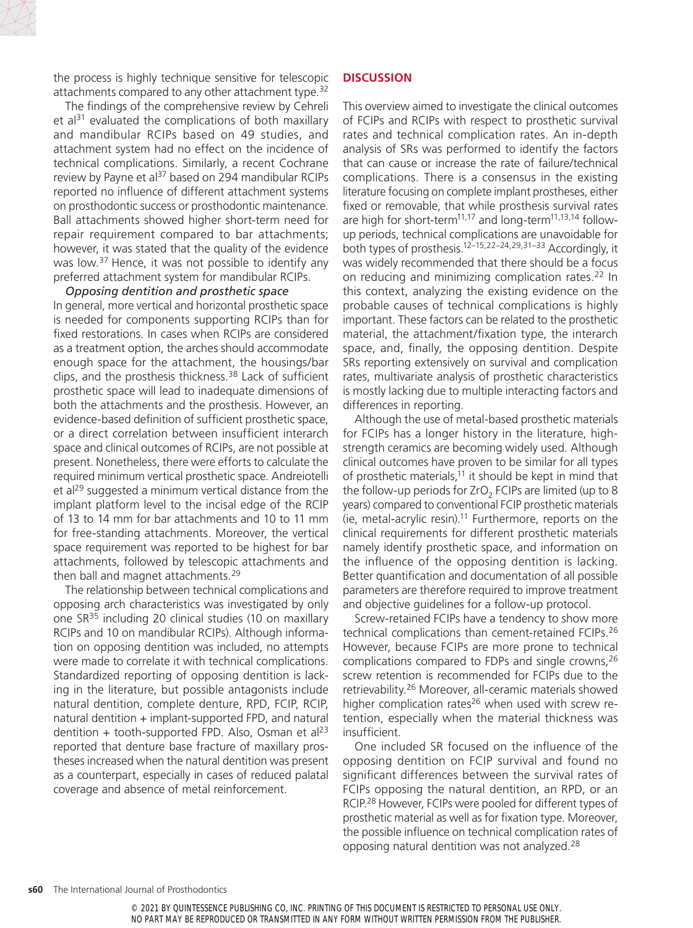

The findings of the comprehensive review by Cehreli et  $al^{31}$  evaluated the complications of both maxillary and mandibular RCIPs based on 49 studies, and attachment system had no effect on the incidence of technical complications. Similarly, a recent Cochrane review by Payne et al<sup>37</sup> based on 294 mandibular RCIPs reported no influence of different attachment systems on prosthodontic success or prosthodontic maintenance. Ball attachments showed higher short-term need for repair requirement compared to bar attachments; however, it was stated that the quality of the evidence was low.<sup>37</sup> Hence, it was not possible to identify any preferred attachment system for mandibular RCIPs.

## *Opposing dentition and prosthetic space*

In general, more vertical and horizontal prosthetic space is needed for components supporting RCIPs than for fixed restorations. In cases when RCIPs are considered as a treatment option, the arches should accommodate enough space for the attachment, the housings/bar clips, and the prosthesis thickness.38 Lack of sufficient prosthetic space will lead to inadequate dimensions of both the attachments and the prosthesis. However, an evidence-based definition of sufficient prosthetic space, or a direct correlation between insufficient interarch space and clinical outcomes of RCIPs, are not possible at present. Nonetheless, there were efforts to calculate the required minimum vertical prosthetic space. Andreiotelli et al<sup>29</sup> suggested a minimum vertical distance from the implant platform level to the incisal edge of the RCIP of 13 to 14 mm for bar attachments and 10 to 11 mm for free-standing attachments. Moreover, the vertical space requirement was reported to be highest for bar attachments, followed by telescopic attachments and then ball and magnet attachments.<sup>29</sup>

The relationship between technical complications and opposing arch characteristics was investigated by only one SR35 including 20 clinical studies (10 on maxillary RCIPs and 10 on mandibular RCIPs). Although information on opposing dentition was included, no attempts were made to correlate it with technical complications. Standardized reporting of opposing dentition is lacking in the literature, but possible antagonists include natural dentition, complete denture, RPD, FCIP, RCIP, natural dentition + implant-supported FPD, and natural dentition + tooth-supported FPD. Also, Osman et al<sup>23</sup> reported that denture base fracture of maxillary prostheses increased when the natural dentition was present as a counterpart, especially in cases of reduced palatal coverage and absence of metal reinforcement.

## **DISCUSSION**

This overview aimed to investigate the clinical outcomes of FCIPs and RCIPs with respect to prosthetic survival rates and technical complication rates. An in-depth analysis of SRs was performed to identify the factors that can cause or increase the rate of failure/technical complications. There is a consensus in the existing literature focusing on complete implant prostheses, either fixed or removable, that while prosthesis survival rates are high for short-term<sup>11,17</sup> and long-term<sup>11,13,14</sup> followup periods, technical complications are unavoidable for both types of prosthesis.12–15,22–24,29,31–33 Accordingly, it was widely recommended that there should be a focus on reducing and minimizing complication rates.22 In this context, analyzing the existing evidence on the probable causes of technical complications is highly important. These factors can be related to the prosthetic material, the attachment/fixation type, the interarch space, and, finally, the opposing dentition. Despite SRs reporting extensively on survival and complication rates, multivariate analysis of prosthetic characteristics is mostly lacking due to multiple interacting factors and differences in reporting.

Although the use of metal-based prosthetic materials for FCIPs has a longer history in the literature, highstrength ceramics are becoming widely used. Although clinical outcomes have proven to be similar for all types of prosthetic materials, $11$  it should be kept in mind that the follow-up periods for ZrO<sub>2</sub> FCIPs are limited (up to 8 years) compared to conventional FCIP prosthetic materials (ie, metal-acrylic resin).11 Furthermore, reports on the clinical requirements for different prosthetic materials namely identify prosthetic space, and information on the influence of the opposing dentition is lacking. Better quantification and documentation of all possible parameters are therefore required to improve treatment and objective guidelines for a follow-up protocol.

Screw-retained FCIPs have a tendency to show more technical complications than cement-retained FCIPs.26 However, because FCIPs are more prone to technical complications compared to FDPs and single crowns,26 screw retention is recommended for FCIPs due to the retrievability.26 Moreover, all-ceramic materials showed higher complication rates<sup>26</sup> when used with screw retention, especially when the material thickness was insufficient.

One included SR focused on the influence of the opposing dentition on FCIP survival and found no significant differences between the survival rates of FCIPs opposing the natural dentition, an RPD, or an RCIP.28 However, FCIPs were pooled for different types of prosthetic material as well as for fixation type. Moreover, the possible influence on technical complication rates of opposing natural dentition was not analyzed.28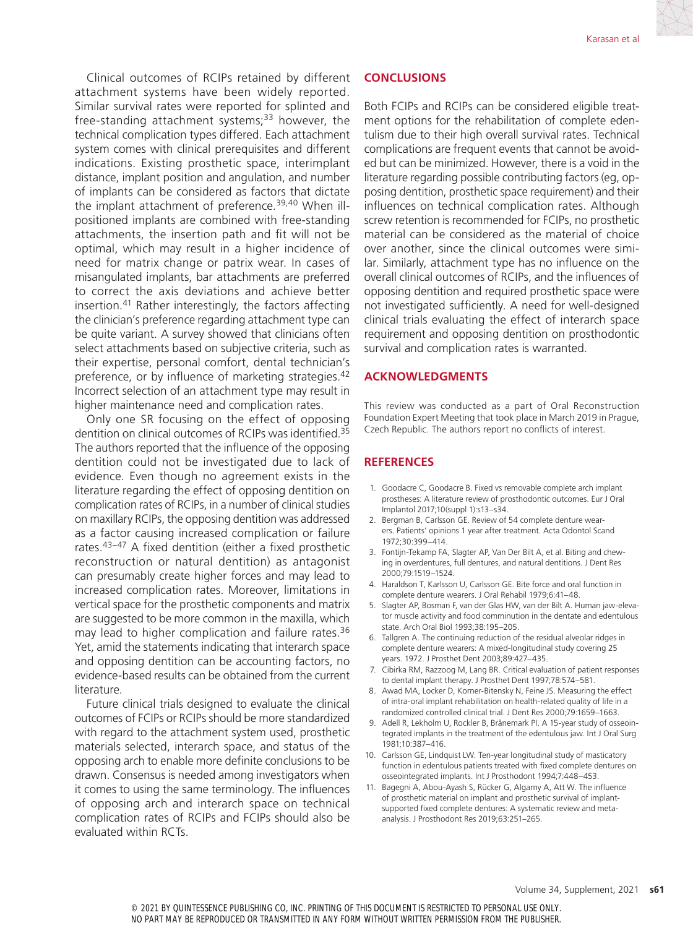Clinical outcomes of RCIPs retained by different attachment systems have been widely reported. Similar survival rates were reported for splinted and free-standing attachment systems; $33$  however, the technical complication types differed. Each attachment system comes with clinical prerequisites and different indications. Existing prosthetic space, interimplant distance, implant position and angulation, and number of implants can be considered as factors that dictate the implant attachment of preference.<sup>39,40</sup> When illpositioned implants are combined with free-standing attachments, the insertion path and fit will not be optimal, which may result in a higher incidence of need for matrix change or patrix wear. In cases of misangulated implants, bar attachments are preferred to correct the axis deviations and achieve better insertion.41 Rather interestingly, the factors affecting the clinician's preference regarding attachment type can be quite variant. A survey showed that clinicians often select attachments based on subjective criteria, such as their expertise, personal comfort, dental technician's preference, or by influence of marketing strategies.<sup>42</sup> Incorrect selection of an attachment type may result in higher maintenance need and complication rates.

Only one SR focusing on the effect of opposing dentition on clinical outcomes of RCIPs was identified.35 The authors reported that the influence of the opposing dentition could not be investigated due to lack of evidence. Even though no agreement exists in the literature regarding the effect of opposing dentition on complication rates of RCIPs, in a number of clinical studies on maxillary RCIPs, the opposing dentition was addressed as a factor causing increased complication or failure rates.43–47 A fixed dentition (either a fixed prosthetic reconstruction or natural dentition) as antagonist can presumably create higher forces and may lead to increased complication rates. Moreover, limitations in vertical space for the prosthetic components and matrix are suggested to be more common in the maxilla, which may lead to higher complication and failure rates.36 Yet, amid the statements indicating that interarch space and opposing dentition can be accounting factors, no evidence-based results can be obtained from the current literature.

Future clinical trials designed to evaluate the clinical outcomes of FCIPs or RCIPs should be more standardized with regard to the attachment system used, prosthetic materials selected, interarch space, and status of the opposing arch to enable more definite conclusions to be drawn. Consensus is needed among investigators when it comes to using the same terminology. The influences of opposing arch and interarch space on technical complication rates of RCIPs and FCIPs should also be evaluated within RCTs.

### **CONCLUSIONS**

Both FCIPs and RCIPs can be considered eligible treatment options for the rehabilitation of complete edentulism due to their high overall survival rates. Technical complications are frequent events that cannot be avoided but can be minimized. However, there is a void in the literature regarding possible contributing factors (eg, opposing dentition, prosthetic space requirement) and their influences on technical complication rates. Although screw retention is recommended for FCIPs, no prosthetic material can be considered as the material of choice over another, since the clinical outcomes were similar. Similarly, attachment type has no influence on the overall clinical outcomes of RCIPs, and the influences of opposing dentition and required prosthetic space were not investigated sufficiently. A need for well-designed clinical trials evaluating the effect of interarch space requirement and opposing dentition on prosthodontic survival and complication rates is warranted.

#### **ACKNOWLEDGMENTS**

This review was conducted as a part of Oral Reconstruction Foundation Expert Meeting that took place in March 2019 in Prague, Czech Republic. The authors report no conflicts of interest.

#### **REFERENCES**

- 1. Goodacre C, Goodacre B. Fixed vs removable complete arch implant prostheses: A literature review of prosthodontic outcomes. Eur J Oral Implantol 2017;10(suppl 1):s13–s34.
- 2. Bergman B, Carlsson GE. Review of 54 complete denture wearers. Patients' opinions 1 year after treatment. Acta Odontol Scand 1972;30:399–414.
- 3. Fontijn-Tekamp FA, Slagter AP, Van Der Bilt A, et al. Biting and chewing in overdentures, full dentures, and natural dentitions. J Dent Res 2000;79:1519–1524.
- 4. Haraldson T, Karlsson U, Carlsson GE. Bite force and oral function in complete denture wearers. J Oral Rehabil 1979;6:41–48.
- 5. Slagter AP, Bosman F, van der Glas HW, van der Bilt A. Human jaw-elevator muscle activity and food comminution in the dentate and edentulous state. Arch Oral Biol 1993;38:195–205.
- 6. Tallgren A. The continuing reduction of the residual alveolar ridges in complete denture wearers: A mixed-longitudinal study covering 25 years. 1972. J Prosthet Dent 2003;89:427–435.
- 7. Cibirka RM, Razzoog M, Lang BR. Critical evaluation of patient responses to dental implant therapy. J Prosthet Dent 1997;78:574–581.
- 8. Awad MA, Locker D, Korner-Bitensky N, Feine JS. Measuring the effect of intra-oral implant rehabilitation on health-related quality of life in a randomized controlled clinical trial. J Dent Res 2000;79:1659–1663.
- 9. Adell R, Lekholm U, Rockler B, Brånemark PI. A 15-year study of osseointegrated implants in the treatment of the edentulous jaw. Int J Oral Surg 1981;10:387–416.
- 10. Carlsson GE, Lindquist LW. Ten-year longitudinal study of masticatory function in edentulous patients treated with fixed complete dentures on osseointegrated implants. Int J Prosthodont 1994;7:448–453.
- 11. Bagegni A, Abou-Ayash S, Rücker G, Algarny A, Att W. The influence of prosthetic material on implant and prosthetic survival of implantsupported fixed complete dentures: A systematic review and metaanalysis. J Prosthodont Res 2019;63:251–265.